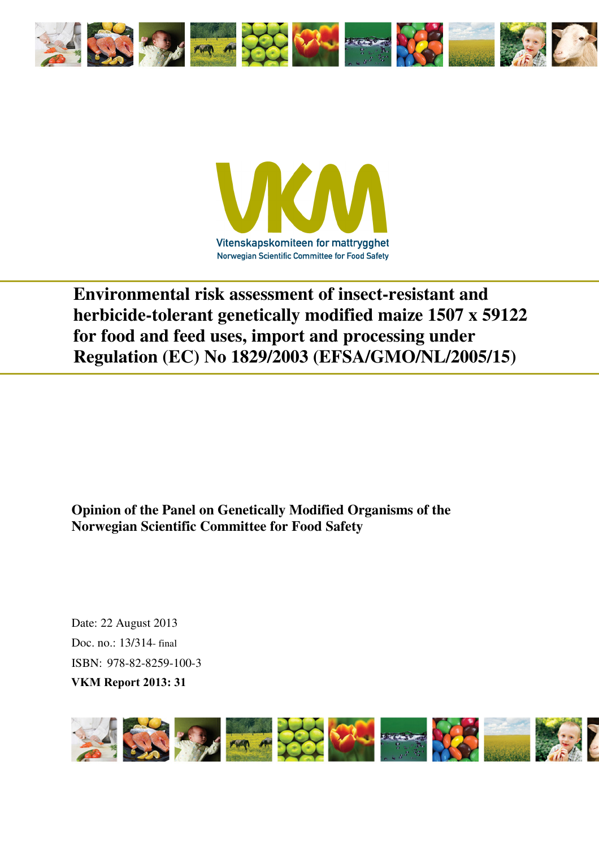



**Environmental risk assessment of insect-resistant and herbicide-tolerant genetically modified maize 1507 x 59122 for food and feed uses, import and processing under Regulation (EC) No 1829/2003 (EFSA/GMO/NL/2005/15)** 

**Opinion of the Panel on Genetically Modified Organisms of the Norwegian Scientific Committee for Food Safety** 

Date: 22 August 2013 Doc. no.: 13/314- final ISBN: 978-82-8259-100-3 **VKM Report 2013: 31**

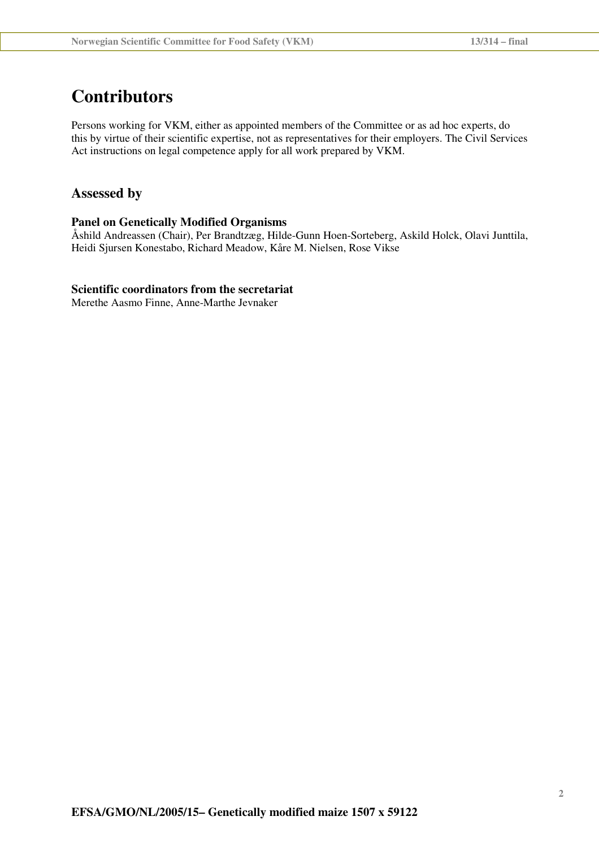## **Contributors**

Persons working for VKM, either as appointed members of the Committee or as ad hoc experts, do this by virtue of their scientific expertise, not as representatives for their employers. The Civil Services Act instructions on legal competence apply for all work prepared by VKM.

### **Assessed by**

#### **Panel on Genetically Modified Organisms**

Åshild Andreassen (Chair), Per Brandtzæg, Hilde-Gunn Hoen-Sorteberg, Askild Holck, Olavi Junttila, Heidi Sjursen Konestabo, Richard Meadow, Kåre M. Nielsen, Rose Vikse

### **Scientific coordinators from the secretariat**

Merethe Aasmo Finne, Anne-Marthe Jevnaker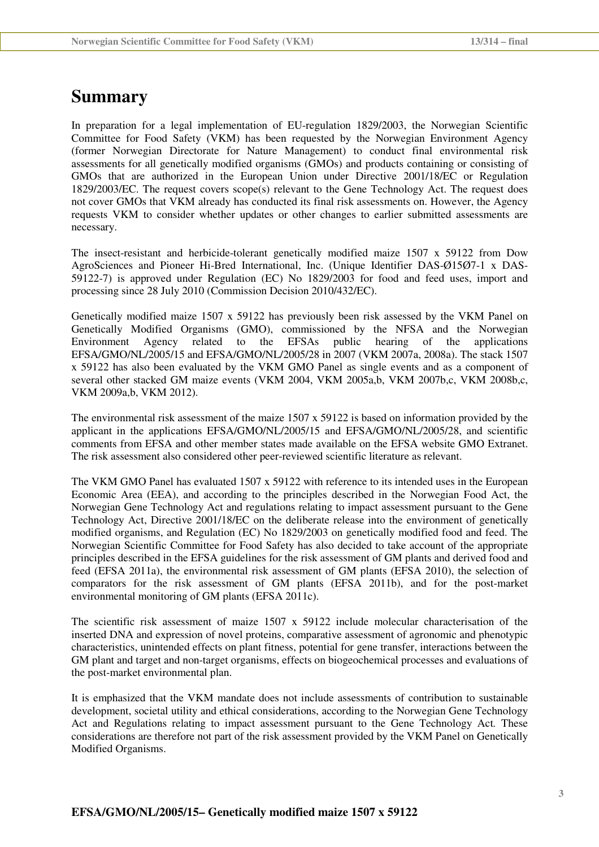## **Summary**

In preparation for a legal implementation of EU-regulation 1829/2003, the Norwegian Scientific Committee for Food Safety (VKM) has been requested by the Norwegian Environment Agency (former Norwegian Directorate for Nature Management) to conduct final environmental risk assessments for all genetically modified organisms (GMOs) and products containing or consisting of GMOs that are authorized in the European Union under Directive 2001/18/EC or Regulation 1829/2003/EC. The request covers scope(s) relevant to the Gene Technology Act. The request does not cover GMOs that VKM already has conducted its final risk assessments on. However, the Agency requests VKM to consider whether updates or other changes to earlier submitted assessments are necessary.

The insect-resistant and herbicide-tolerant genetically modified maize 1507 x 59122 from Dow AgroSciences and Pioneer Hi-Bred International, Inc. (Unique Identifier DAS-Ø15Ø7-1 x DAS-59122-7) is approved under Regulation (EC) No 1829/2003 for food and feed uses, import and processing since 28 July 2010 (Commission Decision 2010/432/EC).

Genetically modified maize 1507 x 59122 has previously been risk assessed by the VKM Panel on Genetically Modified Organisms (GMO), commissioned by the NFSA and the Norwegian Environment Agency related to the EFSAs public hearing of the applications EFSA/GMO/NL/2005/15 and EFSA/GMO/NL/2005/28 in 2007 (VKM 2007a, 2008a). The stack 1507 x 59122 has also been evaluated by the VKM GMO Panel as single events and as a component of several other stacked GM maize events (VKM 2004, VKM 2005a,b, VKM 2007b,c, VKM 2008b,c, VKM 2009a,b, VKM 2012).

The environmental risk assessment of the maize 1507 x 59122 is based on information provided by the applicant in the applications EFSA/GMO/NL/2005/15 and EFSA/GMO/NL/2005/28, and scientific comments from EFSA and other member states made available on the EFSA website GMO Extranet. The risk assessment also considered other peer-reviewed scientific literature as relevant.

The VKM GMO Panel has evaluated 1507 x 59122 with reference to its intended uses in the European Economic Area (EEA), and according to the principles described in the Norwegian Food Act, the Norwegian Gene Technology Act and regulations relating to impact assessment pursuant to the Gene Technology Act, Directive 2001/18/EC on the deliberate release into the environment of genetically modified organisms, and Regulation (EC) No 1829/2003 on genetically modified food and feed. The Norwegian Scientific Committee for Food Safety has also decided to take account of the appropriate principles described in the EFSA guidelines for the risk assessment of GM plants and derived food and feed (EFSA 2011a), the environmental risk assessment of GM plants (EFSA 2010), the selection of comparators for the risk assessment of GM plants (EFSA 2011b), and for the post-market environmental monitoring of GM plants (EFSA 2011c).

The scientific risk assessment of maize 1507 x 59122 include molecular characterisation of the inserted DNA and expression of novel proteins, comparative assessment of agronomic and phenotypic characteristics, unintended effects on plant fitness, potential for gene transfer, interactions between the GM plant and target and non-target organisms, effects on biogeochemical processes and evaluations of the post-market environmental plan.

It is emphasized that the VKM mandate does not include assessments of contribution to sustainable development, societal utility and ethical considerations, according to the Norwegian Gene Technology Act and Regulations relating to impact assessment pursuant to the Gene Technology Act*.* These considerations are therefore not part of the risk assessment provided by the VKM Panel on Genetically Modified Organisms.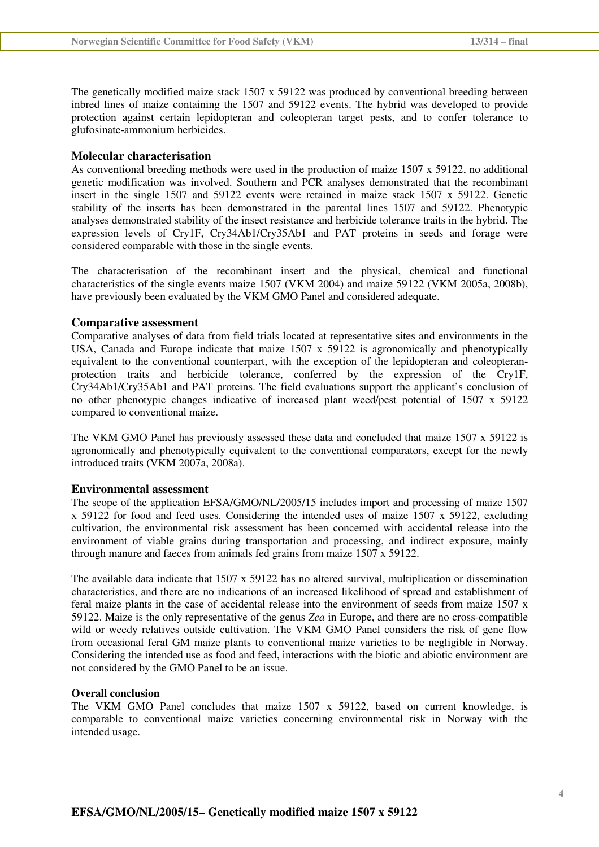The genetically modified maize stack 1507 x 59122 was produced by conventional breeding between inbred lines of maize containing the 1507 and 59122 events. The hybrid was developed to provide protection against certain lepidopteran and coleopteran target pests, and to confer tolerance to glufosinate-ammonium herbicides.

#### **Molecular characterisation**

As conventional breeding methods were used in the production of maize 1507 x 59122, no additional genetic modification was involved. Southern and PCR analyses demonstrated that the recombinant insert in the single 1507 and 59122 events were retained in maize stack 1507 x 59122. Genetic stability of the inserts has been demonstrated in the parental lines 1507 and 59122. Phenotypic analyses demonstrated stability of the insect resistance and herbicide tolerance traits in the hybrid. The expression levels of Cry1F, Cry34Ab1/Cry35Ab1 and PAT proteins in seeds and forage were considered comparable with those in the single events.

The characterisation of the recombinant insert and the physical, chemical and functional characteristics of the single events maize 1507 (VKM 2004) and maize 59122 (VKM 2005a, 2008b), have previously been evaluated by the VKM GMO Panel and considered adequate.

#### **Comparative assessment**

Comparative analyses of data from field trials located at representative sites and environments in the USA, Canada and Europe indicate that maize 1507 x 59122 is agronomically and phenotypically equivalent to the conventional counterpart, with the exception of the lepidopteran and coleopteranprotection traits and herbicide tolerance, conferred by the expression of the Cry1F, Cry34Ab1/Cry35Ab1 and PAT proteins. The field evaluations support the applicant's conclusion of no other phenotypic changes indicative of increased plant weed/pest potential of 1507 x 59122 compared to conventional maize.

The VKM GMO Panel has previously assessed these data and concluded that maize 1507 x 59122 is agronomically and phenotypically equivalent to the conventional comparators, except for the newly introduced traits (VKM 2007a, 2008a).

#### **Environmental assessment**

The scope of the application EFSA/GMO/NL/2005/15 includes import and processing of maize 1507 x 59122 for food and feed uses. Considering the intended uses of maize 1507 x 59122, excluding cultivation, the environmental risk assessment has been concerned with accidental release into the environment of viable grains during transportation and processing, and indirect exposure, mainly through manure and faeces from animals fed grains from maize 1507 x 59122.

The available data indicate that 1507 x 59122 has no altered survival, multiplication or dissemination characteristics, and there are no indications of an increased likelihood of spread and establishment of feral maize plants in the case of accidental release into the environment of seeds from maize 1507 x 59122. Maize is the only representative of the genus *Zea* in Europe, and there are no cross-compatible wild or weedy relatives outside cultivation. The VKM GMO Panel considers the risk of gene flow from occasional feral GM maize plants to conventional maize varieties to be negligible in Norway. Considering the intended use as food and feed, interactions with the biotic and abiotic environment are not considered by the GMO Panel to be an issue.

#### **Overall conclusion**

The VKM GMO Panel concludes that maize 1507 x 59122, based on current knowledge, is comparable to conventional maize varieties concerning environmental risk in Norway with the intended usage.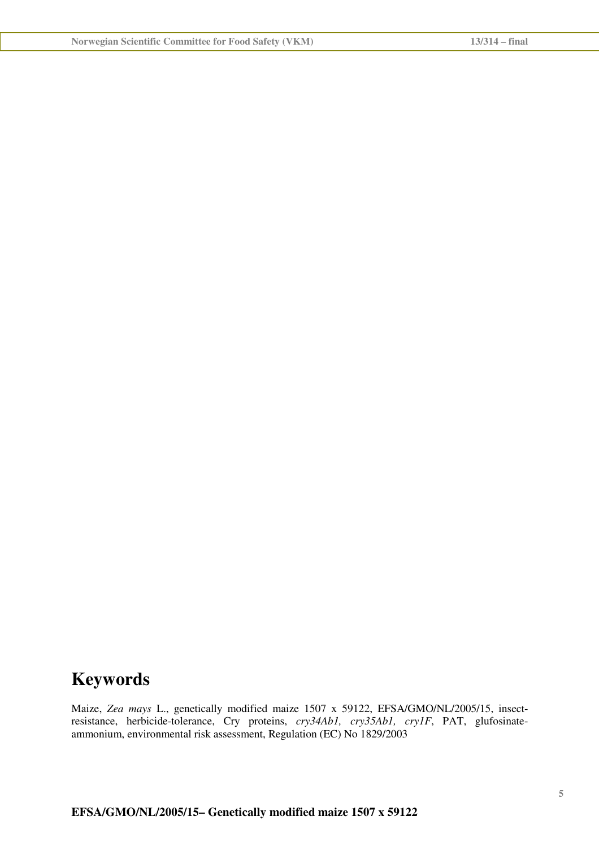## **Keywords**

Maize, *Zea mays* L., genetically modified maize 1507 x 59122, EFSA/GMO/NL/2005/15, insectresistance, herbicide-tolerance, Cry proteins, *cry34Ab1, cry35Ab1, cry1F*, PAT, glufosinateammonium, environmental risk assessment, Regulation (EC) No 1829/2003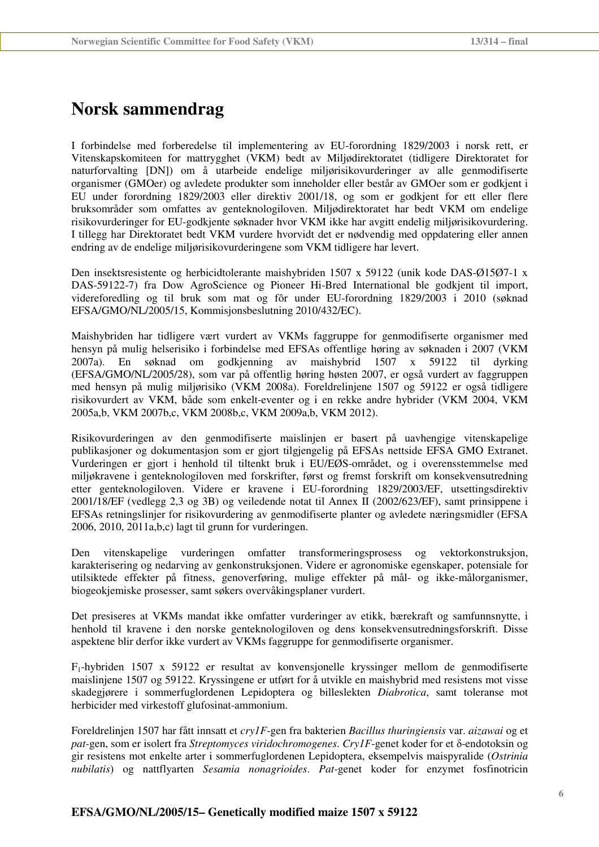## **Norsk sammendrag**

I forbindelse med forberedelse til implementering av EU-forordning 1829/2003 i norsk rett, er Vitenskapskomiteen for mattrygghet (VKM) bedt av Miljødirektoratet (tidligere Direktoratet for naturforvalting [DN]) om å utarbeide endelige miljørisikovurderinger av alle genmodifiserte organismer (GMOer) og avledete produkter som inneholder eller består av GMOer som er godkjent i EU under forordning 1829/2003 eller direktiv 2001/18, og som er godkjent for ett eller flere bruksområder som omfattes av genteknologiloven. Miljødirektoratet har bedt VKM om endelige risikovurderinger for EU-godkjente søknader hvor VKM ikke har avgitt endelig miljørisikovurdering. I tillegg har Direktoratet bedt VKM vurdere hvorvidt det er nødvendig med oppdatering eller annen endring av de endelige miljørisikovurderingene som VKM tidligere har levert.

Den insektsresistente og herbicidtolerante maishybriden 1507 x 59122 (unik kode DAS-Ø15Ø7-1 x DAS-59122-7) fra Dow AgroScience og Pioneer Hi-Bred International ble godkjent til import, videreforedling og til bruk som mat og fôr under EU-forordning 1829/2003 i 2010 (søknad EFSA/GMO/NL/2005/15, Kommisjonsbeslutning 2010/432/EC).

Maishybriden har tidligere vært vurdert av VKMs faggruppe for genmodifiserte organismer med hensyn på mulig helserisiko i forbindelse med EFSAs offentlige høring av søknaden i 2007 (VKM 2007a). En søknad om godkjenning av maishybrid 1507 x 59122 til dyrking (EFSA/GMO/NL/2005/28), som var på offentlig høring høsten 2007, er også vurdert av faggruppen med hensyn på mulig miljørisiko (VKM 2008a). Foreldrelinjene 1507 og 59122 er også tidligere risikovurdert av VKM, både som enkelt-eventer og i en rekke andre hybrider (VKM 2004, VKM 2005a,b, VKM 2007b,c, VKM 2008b,c, VKM 2009a,b, VKM 2012).

Risikovurderingen av den genmodifiserte maislinjen er basert på uavhengige vitenskapelige publikasjoner og dokumentasjon som er gjort tilgjengelig på EFSAs nettside EFSA GMO Extranet. Vurderingen er gjort i henhold til tiltenkt bruk i EU/EØS-området, og i overensstemmelse med miljøkravene i genteknologiloven med forskrifter, først og fremst forskrift om konsekvensutredning etter genteknologiloven. Videre er kravene i EU-forordning 1829/2003/EF, utsettingsdirektiv 2001/18/EF (vedlegg 2,3 og 3B) og veiledende notat til Annex II (2002/623/EF), samt prinsippene i EFSAs retningslinjer for risikovurdering av genmodifiserte planter og avledete næringsmidler (EFSA 2006, 2010, 2011a,b,c) lagt til grunn for vurderingen.

Den vitenskapelige vurderingen omfatter transformeringsprosess og vektorkonstruksjon, karakterisering og nedarving av genkonstruksjonen. Videre er agronomiske egenskaper, potensiale for utilsiktede effekter på fitness, genoverføring, mulige effekter på mål- og ikke-målorganismer, biogeokjemiske prosesser, samt søkers overvåkingsplaner vurdert.

Det presiseres at VKMs mandat ikke omfatter vurderinger av etikk, bærekraft og samfunnsnytte, i henhold til kravene i den norske genteknologiloven og dens konsekvensutredningsforskrift. Disse aspektene blir derfor ikke vurdert av VKMs faggruppe for genmodifiserte organismer.

 $F_1$ -hybriden 1507 x 59122 er resultat av konvensjonelle kryssinger mellom de genmodifiserte maislinjene 1507 og 59122. Kryssingene er utført for å utvikle en maishybrid med resistens mot visse skadegjørere i sommerfuglordenen Lepidoptera og billeslekten *Diabrotica*, samt toleranse mot herbicider med virkestoff glufosinat-ammonium.

Foreldrelinjen 1507 har fått innsatt et *cry1F*-gen fra bakterien *Bacillus thuringiensis* var. *aizawai* og et *pat-*gen, som er isolert fra *Streptomyces viridochromogenes*. *Cry1F*-genet koder for et δ-endotoksin og gir resistens mot enkelte arter i sommerfuglordenen Lepidoptera, eksempelvis maispyralide (*Ostrinia nubilatis*) og nattflyarten *Sesamia nonagrioides*. *Pat*-genet koder for enzymet fosfinotricin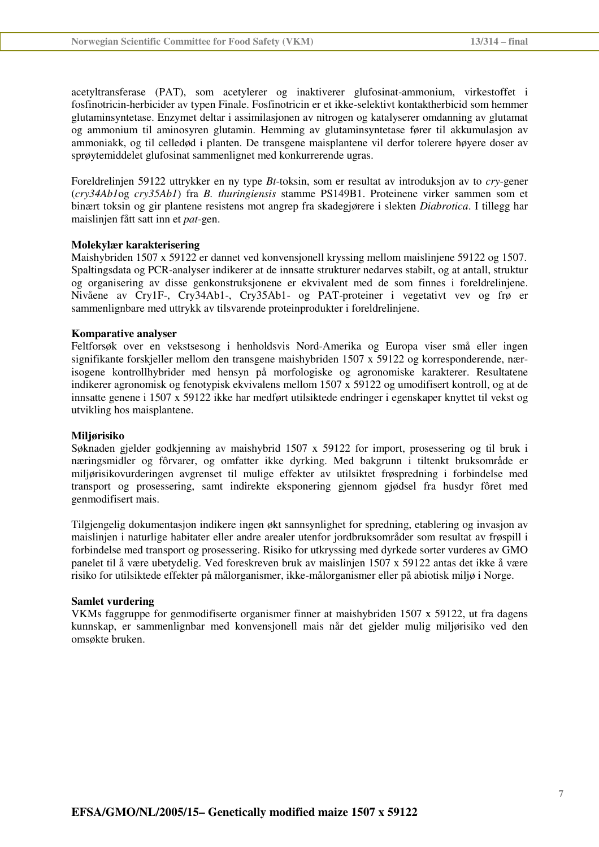acetyltransferase (PAT), som acetylerer og inaktiverer glufosinat-ammonium, virkestoffet i fosfinotricin-herbicider av typen Finale. Fosfinotricin er et ikke-selektivt kontaktherbicid som hemmer glutaminsyntetase. Enzymet deltar i assimilasjonen av nitrogen og katalyserer omdanning av glutamat og ammonium til aminosyren glutamin. Hemming av glutaminsyntetase fører til akkumulasjon av ammoniakk, og til celledød i planten. De transgene maisplantene vil derfor tolerere høyere doser av sprøytemiddelet glufosinat sammenlignet med konkurrerende ugras.

Foreldrelinjen 59122 uttrykker en ny type *Bt*-toksin, som er resultat av introduksjon av to *cry*-gener (*cry34Ab1*og *cry35Ab1*) fra *B. thuringiensis* stamme PS149B1. Proteinene virker sammen som et binært toksin og gir plantene resistens mot angrep fra skadegjørere i slekten *Diabrotica*. I tillegg har maislinjen fått satt inn et *pat*-gen.

#### **Molekylær karakterisering**

Maishybriden 1507 x 59122 er dannet ved konvensjonell kryssing mellom maislinjene 59122 og 1507. Spaltingsdata og PCR-analyser indikerer at de innsatte strukturer nedarves stabilt, og at antall, struktur og organisering av disse genkonstruksjonene er ekvivalent med de som finnes i foreldrelinjene. Nivåene av Cry1F-, Cry34Ab1-, Cry35Ab1- og PAT-proteiner i vegetativt vev og frø er sammenlignbare med uttrykk av tilsvarende proteinprodukter i foreldrelinjene.

#### **Komparative analyser**

Feltforsøk over en vekstsesong i henholdsvis Nord-Amerika og Europa viser små eller ingen signifikante forskjeller mellom den transgene maishybriden 1507 x 59122 og korresponderende, nærisogene kontrollhybrider med hensyn på morfologiske og agronomiske karakterer. Resultatene indikerer agronomisk og fenotypisk ekvivalens mellom 1507 x 59122 og umodifisert kontroll, og at de innsatte genene i 1507 x 59122 ikke har medført utilsiktede endringer i egenskaper knyttet til vekst og utvikling hos maisplantene.

#### **Miljørisiko**

Søknaden gjelder godkjenning av maishybrid 1507 x 59122 for import, prosessering og til bruk i næringsmidler og fôrvarer, og omfatter ikke dyrking. Med bakgrunn i tiltenkt bruksområde er miljørisikovurderingen avgrenset til mulige effekter av utilsiktet frøspredning i forbindelse med transport og prosessering, samt indirekte eksponering gjennom gjødsel fra husdyr fôret med genmodifisert mais.

Tilgjengelig dokumentasjon indikere ingen økt sannsynlighet for spredning, etablering og invasjon av maislinjen i naturlige habitater eller andre arealer utenfor jordbruksområder som resultat av frøspill i forbindelse med transport og prosessering. Risiko for utkryssing med dyrkede sorter vurderes av GMO panelet til å være ubetydelig. Ved foreskreven bruk av maislinjen 1507 x 59122 antas det ikke å være risiko for utilsiktede effekter på målorganismer, ikke-målorganismer eller på abiotisk miljø i Norge.

#### **Samlet vurdering**

VKMs faggruppe for genmodifiserte organismer finner at maishybriden 1507 x 59122, ut fra dagens kunnskap, er sammenlignbar med konvensjonell mais når det gjelder mulig miljørisiko ved den omsøkte bruken.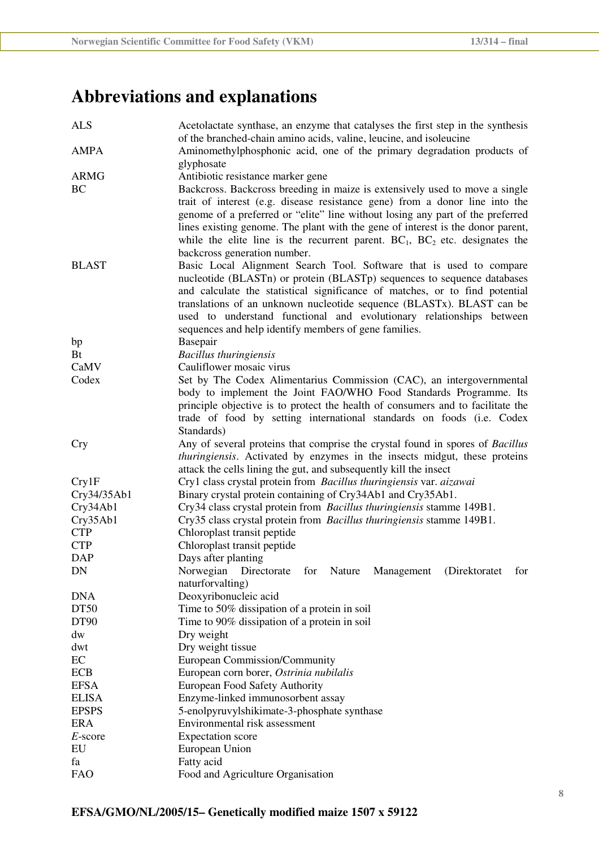# **Abbreviations and explanations**

| <b>ALS</b>   | Acetolactate synthase, an enzyme that catalyses the first step in the synthesis<br>of the branched-chain amino acids, valine, leucine, and isoleucine                                                                                                                                                                                                                                                                                                |  |  |
|--------------|------------------------------------------------------------------------------------------------------------------------------------------------------------------------------------------------------------------------------------------------------------------------------------------------------------------------------------------------------------------------------------------------------------------------------------------------------|--|--|
| <b>AMPA</b>  | Aminomethylphosphonic acid, one of the primary degradation products of<br>glyphosate                                                                                                                                                                                                                                                                                                                                                                 |  |  |
| <b>ARMG</b>  | Antibiotic resistance marker gene                                                                                                                                                                                                                                                                                                                                                                                                                    |  |  |
| <b>BC</b>    | Backcross. Backcross breeding in maize is extensively used to move a single<br>trait of interest (e.g. disease resistance gene) from a donor line into the<br>genome of a preferred or "elite" line without losing any part of the preferred<br>lines existing genome. The plant with the gene of interest is the donor parent,<br>while the elite line is the recurrent parent. $BC_1$ , $BC_2$ etc. designates the<br>backcross generation number. |  |  |
| <b>BLAST</b> | Basic Local Alignment Search Tool. Software that is used to compare<br>nucleotide (BLASTn) or protein (BLASTp) sequences to sequence databases<br>and calculate the statistical significance of matches, or to find potential<br>translations of an unknown nucleotide sequence (BLASTx). BLAST can be<br>used to understand functional and evolutionary relationships between<br>sequences and help identify members of gene families.              |  |  |
| bp           | Basepair                                                                                                                                                                                                                                                                                                                                                                                                                                             |  |  |
| Bt           | <b>Bacillus</b> thuringiensis                                                                                                                                                                                                                                                                                                                                                                                                                        |  |  |
| CaMV         | Cauliflower mosaic virus                                                                                                                                                                                                                                                                                                                                                                                                                             |  |  |
| Codex        | Set by The Codex Alimentarius Commission (CAC), an intergovernmental<br>body to implement the Joint FAO/WHO Food Standards Programme. Its<br>principle objective is to protect the health of consumers and to facilitate the<br>trade of food by setting international standards on foods (i.e. Codex<br>Standards)                                                                                                                                  |  |  |
| <b>Cry</b>   | Any of several proteins that comprise the crystal found in spores of Bacillus<br>thuringiensis. Activated by enzymes in the insects midgut, these proteins<br>attack the cells lining the gut, and subsequently kill the insect                                                                                                                                                                                                                      |  |  |
| Cry1F        | Cry1 class crystal protein from Bacillus thuringiensis var. aizawai                                                                                                                                                                                                                                                                                                                                                                                  |  |  |
| Cry34/35Ab1  | Binary crystal protein containing of Cry34Ab1 and Cry35Ab1.                                                                                                                                                                                                                                                                                                                                                                                          |  |  |
| Cry34Ab1     | Cry34 class crystal protein from Bacillus thuringiensis stamme 149B1.                                                                                                                                                                                                                                                                                                                                                                                |  |  |
| Cry35Ab1     | Cry35 class crystal protein from Bacillus thuringiensis stamme 149B1.                                                                                                                                                                                                                                                                                                                                                                                |  |  |
| <b>CTP</b>   | Chloroplast transit peptide                                                                                                                                                                                                                                                                                                                                                                                                                          |  |  |
| <b>CTP</b>   | Chloroplast transit peptide                                                                                                                                                                                                                                                                                                                                                                                                                          |  |  |
| <b>DAP</b>   | Days after planting                                                                                                                                                                                                                                                                                                                                                                                                                                  |  |  |
| DN           | for Nature<br>(Direktoratet<br>Management<br>Norwegian<br>Directorate<br>for<br>naturforvalting)                                                                                                                                                                                                                                                                                                                                                     |  |  |
| <b>DNA</b>   | Deoxyribonucleic acid                                                                                                                                                                                                                                                                                                                                                                                                                                |  |  |
| DT50         | Time to 50% dissipation of a protein in soil                                                                                                                                                                                                                                                                                                                                                                                                         |  |  |
| DT90         | Time to 90% dissipation of a protein in soil                                                                                                                                                                                                                                                                                                                                                                                                         |  |  |
| dw           | Dry weight                                                                                                                                                                                                                                                                                                                                                                                                                                           |  |  |
| dwt          | Dry weight tissue                                                                                                                                                                                                                                                                                                                                                                                                                                    |  |  |
| EC           | European Commission/Community                                                                                                                                                                                                                                                                                                                                                                                                                        |  |  |
| <b>ECB</b>   | European corn borer, Ostrinia nubilalis                                                                                                                                                                                                                                                                                                                                                                                                              |  |  |
| <b>EFSA</b>  | European Food Safety Authority                                                                                                                                                                                                                                                                                                                                                                                                                       |  |  |
| <b>ELISA</b> | Enzyme-linked immunosorbent assay                                                                                                                                                                                                                                                                                                                                                                                                                    |  |  |
| <b>EPSPS</b> | 5-enolpyruvylshikimate-3-phosphate synthase                                                                                                                                                                                                                                                                                                                                                                                                          |  |  |
| <b>ERA</b>   | Environmental risk assessment                                                                                                                                                                                                                                                                                                                                                                                                                        |  |  |
| $E$ -score   | <b>Expectation</b> score                                                                                                                                                                                                                                                                                                                                                                                                                             |  |  |
| EU           | European Union                                                                                                                                                                                                                                                                                                                                                                                                                                       |  |  |
| fa           | Fatty acid                                                                                                                                                                                                                                                                                                                                                                                                                                           |  |  |
| <b>FAO</b>   | Food and Agriculture Organisation                                                                                                                                                                                                                                                                                                                                                                                                                    |  |  |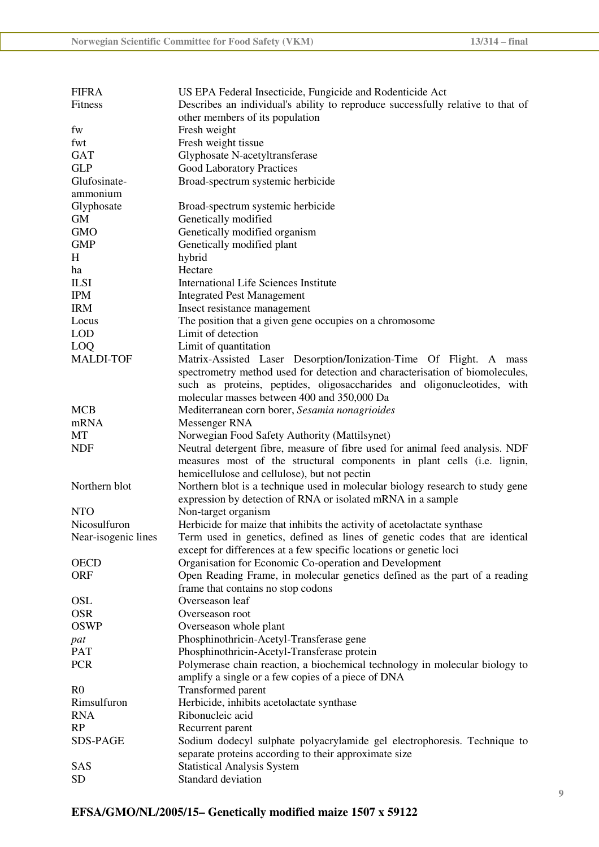| <b>FIFRA</b>        | US EPA Federal Insecticide, Fungicide and Rodenticide Act                       |  |  |
|---------------------|---------------------------------------------------------------------------------|--|--|
| Fitness             | Describes an individual's ability to reproduce successfully relative to that of |  |  |
|                     | other members of its population                                                 |  |  |
| fw                  | Fresh weight                                                                    |  |  |
| fwt                 | Fresh weight tissue                                                             |  |  |
| <b>GAT</b>          | Glyphosate N-acetyltransferase                                                  |  |  |
| <b>GLP</b>          | <b>Good Laboratory Practices</b>                                                |  |  |
| Glufosinate-        | Broad-spectrum systemic herbicide                                               |  |  |
| ammonium            |                                                                                 |  |  |
| Glyphosate          | Broad-spectrum systemic herbicide                                               |  |  |
| <b>GM</b>           | Genetically modified                                                            |  |  |
| <b>GMO</b>          | Genetically modified organism                                                   |  |  |
| <b>GMP</b>          | Genetically modified plant                                                      |  |  |
| H                   | hybrid                                                                          |  |  |
| ha                  | Hectare                                                                         |  |  |
| <b>ILSI</b>         | <b>International Life Sciences Institute</b>                                    |  |  |
| <b>IPM</b>          | <b>Integrated Pest Management</b>                                               |  |  |
| <b>IRM</b>          | Insect resistance management                                                    |  |  |
| Locus               | The position that a given gene occupies on a chromosome                         |  |  |
| <b>LOD</b>          | Limit of detection                                                              |  |  |
| <b>LOQ</b>          | Limit of quantitation                                                           |  |  |
| <b>MALDI-TOF</b>    | Matrix-Assisted Laser Desorption/Ionization-Time Of Flight. A mass              |  |  |
|                     | spectrometry method used for detection and characterisation of biomolecules,    |  |  |
|                     | such as proteins, peptides, oligosaccharides and oligonucleotides, with         |  |  |
|                     | molecular masses between 400 and 350,000 Da                                     |  |  |
| <b>MCB</b>          | Mediterranean corn borer, Sesamia nonagrioides                                  |  |  |
| mRNA                | Messenger RNA                                                                   |  |  |
| MT                  | Norwegian Food Safety Authority (Mattilsynet)                                   |  |  |
| <b>NDF</b>          | Neutral detergent fibre, measure of fibre used for animal feed analysis. NDF    |  |  |
|                     | measures most of the structural components in plant cells (i.e. lignin,         |  |  |
|                     | hemicellulose and cellulose), but not pectin                                    |  |  |
| Northern blot       | Northern blot is a technique used in molecular biology research to study gene   |  |  |
|                     | expression by detection of RNA or isolated mRNA in a sample                     |  |  |
| <b>NTO</b>          | Non-target organism                                                             |  |  |
| Nicosulfuron        | Herbicide for maize that inhibits the activity of acetolactate synthase         |  |  |
| Near-isogenic lines | Term used in genetics, defined as lines of genetic codes that are identical     |  |  |
|                     | except for differences at a few specific locations or genetic loci              |  |  |
| <b>OECD</b>         | Organisation for Economic Co-operation and Development                          |  |  |
| <b>ORF</b>          | Open Reading Frame, in molecular genetics defined as the part of a reading      |  |  |
|                     |                                                                                 |  |  |
| <b>OSL</b>          | frame that contains no stop codons<br>Overseason leaf                           |  |  |
| <b>OSR</b>          |                                                                                 |  |  |
|                     | Overseason root                                                                 |  |  |
| <b>OSWP</b>         | Overseason whole plant                                                          |  |  |
| pat                 | Phosphinothricin-Acetyl-Transferase gene                                        |  |  |
| <b>PAT</b>          | Phosphinothricin-Acetyl-Transferase protein                                     |  |  |
| <b>PCR</b>          | Polymerase chain reaction, a biochemical technology in molecular biology to     |  |  |
|                     | amplify a single or a few copies of a piece of DNA                              |  |  |
| R <sub>0</sub>      | Transformed parent                                                              |  |  |
| Rimsulfuron         | Herbicide, inhibits acetolactate synthase                                       |  |  |
| <b>RNA</b>          | Ribonucleic acid                                                                |  |  |
| RP                  | Recurrent parent                                                                |  |  |
| SDS-PAGE            | Sodium dodecyl sulphate polyacrylamide gel electrophoresis. Technique to        |  |  |
|                     | separate proteins according to their approximate size                           |  |  |
| <b>SAS</b>          | <b>Statistical Analysis System</b>                                              |  |  |
| <b>SD</b>           | Standard deviation                                                              |  |  |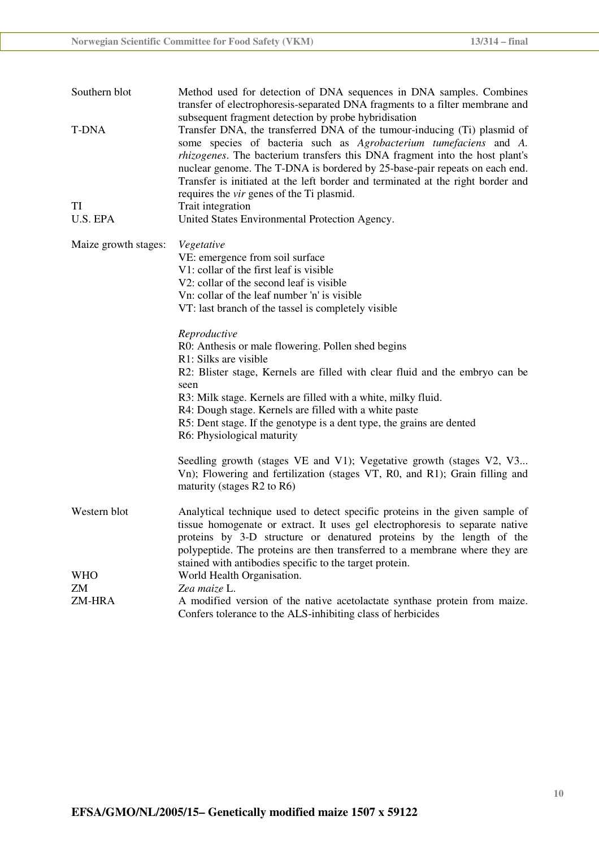| Southern blot<br>Method used for detection of DNA sequences in DNA samples. Combines<br>transfer of electrophoresis-separated DNA fragments to a filter membrane and<br>subsequent fragment detection by probe hybridisation |                                                                                                                                                                                                                                                                                                                                                                                                                                                           |
|------------------------------------------------------------------------------------------------------------------------------------------------------------------------------------------------------------------------------|-----------------------------------------------------------------------------------------------------------------------------------------------------------------------------------------------------------------------------------------------------------------------------------------------------------------------------------------------------------------------------------------------------------------------------------------------------------|
| T-DNA                                                                                                                                                                                                                        | Transfer DNA, the transferred DNA of the tumour-inducing (Ti) plasmid of<br>some species of bacteria such as Agrobacterium tumefaciens and A.<br><i>rhizogenes</i> . The bacterium transfers this DNA fragment into the host plant's<br>nuclear genome. The T-DNA is bordered by 25-base-pair repeats on each end.<br>Transfer is initiated at the left border and terminated at the right border and<br>requires the <i>vir</i> genes of the Ti plasmid. |
| TI                                                                                                                                                                                                                           | Trait integration                                                                                                                                                                                                                                                                                                                                                                                                                                         |
| U.S. EPA                                                                                                                                                                                                                     | United States Environmental Protection Agency.                                                                                                                                                                                                                                                                                                                                                                                                            |
| Maize growth stages:                                                                                                                                                                                                         | Vegetative<br>VE: emergence from soil surface<br>V1: collar of the first leaf is visible<br>V2: collar of the second leaf is visible<br>Vn: collar of the leaf number 'n' is visible<br>VT: last branch of the tassel is completely visible                                                                                                                                                                                                               |
|                                                                                                                                                                                                                              | Reproductive<br>R0: Anthesis or male flowering. Pollen shed begins<br>R1: Silks are visible<br>R2: Blister stage, Kernels are filled with clear fluid and the embryo can be<br>seen<br>R3: Milk stage. Kernels are filled with a white, milky fluid.<br>R4: Dough stage. Kernels are filled with a white paste<br>R5: Dent stage. If the genotype is a dent type, the grains are dented<br>R6: Physiological maturity                                     |
|                                                                                                                                                                                                                              | Seedling growth (stages VE and V1); Vegetative growth (stages V2, V3<br>Vn); Flowering and fertilization (stages VT, R0, and R1); Grain filling and<br>maturity (stages R2 to R6)                                                                                                                                                                                                                                                                         |
| Western blot<br><b>WHO</b>                                                                                                                                                                                                   | Analytical technique used to detect specific proteins in the given sample of<br>tissue homogenate or extract. It uses gel electrophoresis to separate native<br>proteins by 3-D structure or denatured proteins by the length of the<br>polypeptide. The proteins are then transferred to a membrane where they are<br>stained with antibodies specific to the target protein.<br>World Health Organisation.                                              |
| ZM                                                                                                                                                                                                                           | Zea maize L.                                                                                                                                                                                                                                                                                                                                                                                                                                              |
| ZM-HRA                                                                                                                                                                                                                       | A modified version of the native acetolactate synthase protein from maize.<br>Confers tolerance to the ALS-inhibiting class of herbicides                                                                                                                                                                                                                                                                                                                 |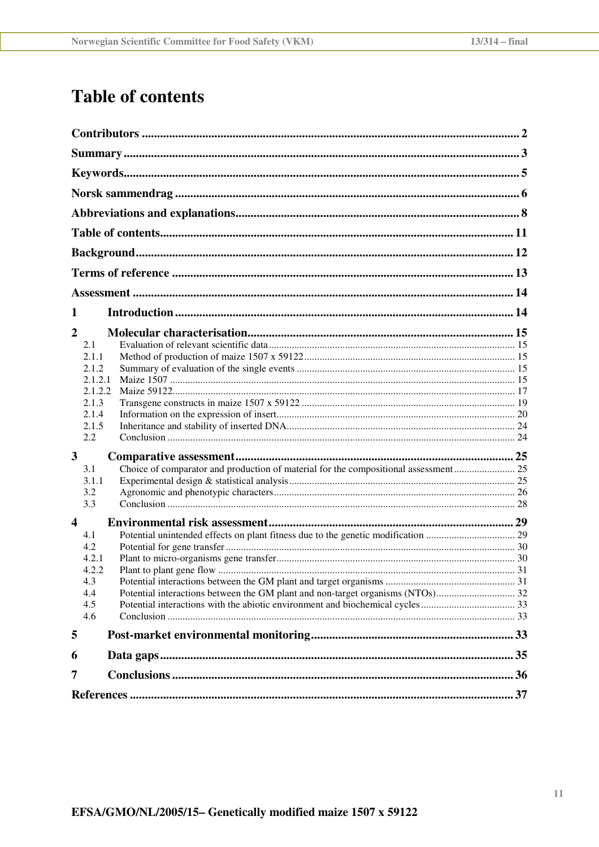# **Table of contents**

| 1<br>$\overline{2}$<br>2.1<br>2.1.1<br>2.1.2<br>2.1.2.1<br>2.1.2.2<br>2.1.3<br>2.1.4<br>2.1.5<br>2.2<br>3<br>3.1<br>3.1.1<br>3.2<br>3.3<br>$\overline{\mathbf{4}}$<br>4.1<br>4.2<br>4.2.1<br>4.2.2<br>4.3<br>4.4<br>4.5<br>4.6<br>5<br>6<br>7 |  |  |  |  |
|-----------------------------------------------------------------------------------------------------------------------------------------------------------------------------------------------------------------------------------------------|--|--|--|--|
|                                                                                                                                                                                                                                               |  |  |  |  |
|                                                                                                                                                                                                                                               |  |  |  |  |
|                                                                                                                                                                                                                                               |  |  |  |  |
|                                                                                                                                                                                                                                               |  |  |  |  |
|                                                                                                                                                                                                                                               |  |  |  |  |
|                                                                                                                                                                                                                                               |  |  |  |  |
|                                                                                                                                                                                                                                               |  |  |  |  |
|                                                                                                                                                                                                                                               |  |  |  |  |
|                                                                                                                                                                                                                                               |  |  |  |  |
|                                                                                                                                                                                                                                               |  |  |  |  |
|                                                                                                                                                                                                                                               |  |  |  |  |
|                                                                                                                                                                                                                                               |  |  |  |  |
|                                                                                                                                                                                                                                               |  |  |  |  |
|                                                                                                                                                                                                                                               |  |  |  |  |
|                                                                                                                                                                                                                                               |  |  |  |  |
|                                                                                                                                                                                                                                               |  |  |  |  |
|                                                                                                                                                                                                                                               |  |  |  |  |
|                                                                                                                                                                                                                                               |  |  |  |  |
|                                                                                                                                                                                                                                               |  |  |  |  |
|                                                                                                                                                                                                                                               |  |  |  |  |
|                                                                                                                                                                                                                                               |  |  |  |  |
|                                                                                                                                                                                                                                               |  |  |  |  |
|                                                                                                                                                                                                                                               |  |  |  |  |
|                                                                                                                                                                                                                                               |  |  |  |  |
|                                                                                                                                                                                                                                               |  |  |  |  |
|                                                                                                                                                                                                                                               |  |  |  |  |
|                                                                                                                                                                                                                                               |  |  |  |  |
|                                                                                                                                                                                                                                               |  |  |  |  |
|                                                                                                                                                                                                                                               |  |  |  |  |
|                                                                                                                                                                                                                                               |  |  |  |  |
|                                                                                                                                                                                                                                               |  |  |  |  |
|                                                                                                                                                                                                                                               |  |  |  |  |
|                                                                                                                                                                                                                                               |  |  |  |  |
|                                                                                                                                                                                                                                               |  |  |  |  |
|                                                                                                                                                                                                                                               |  |  |  |  |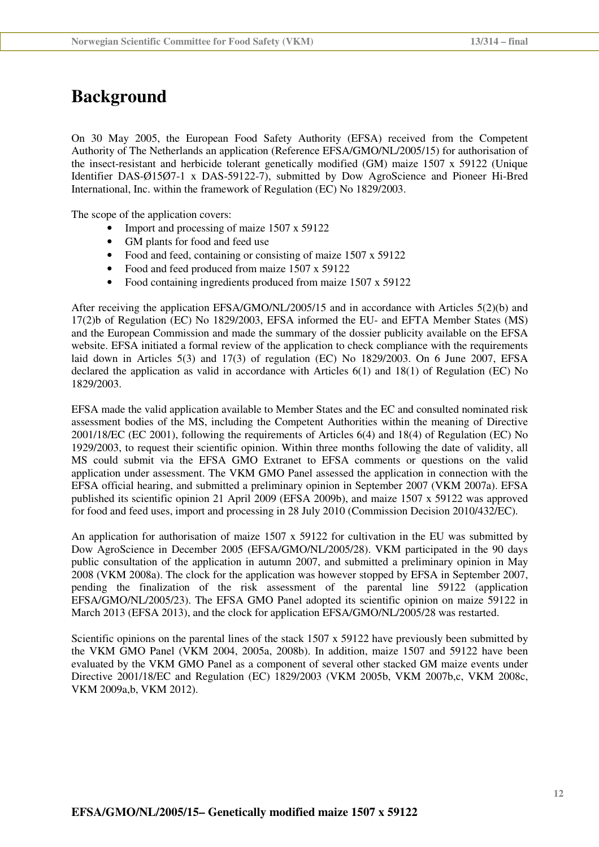## **Background**

On 30 May 2005, the European Food Safety Authority (EFSA) received from the Competent Authority of The Netherlands an application (Reference EFSA/GMO/NL/2005/15) for authorisation of the insect-resistant and herbicide tolerant genetically modified (GM) maize 1507 x 59122 (Unique Identifier DAS-Ø15Ø7-1 x DAS-59122-7), submitted by Dow AgroScience and Pioneer Hi-Bred International, Inc. within the framework of Regulation (EC) No 1829/2003.

The scope of the application covers:

- Import and processing of maize 1507 x 59122
- GM plants for food and feed use
- Food and feed, containing or consisting of maize 1507 x 59122
- Food and feed produced from maize 1507 x 59122
- Food containing ingredients produced from maize 1507 x 59122

After receiving the application EFSA/GMO/NL/2005/15 and in accordance with Articles 5(2)(b) and 17(2)b of Regulation (EC) No 1829/2003, EFSA informed the EU- and EFTA Member States (MS) and the European Commission and made the summary of the dossier publicity available on the EFSA website. EFSA initiated a formal review of the application to check compliance with the requirements laid down in Articles 5(3) and 17(3) of regulation (EC) No 1829/2003. On 6 June 2007, EFSA declared the application as valid in accordance with Articles 6(1) and 18(1) of Regulation (EC) No 1829/2003.

EFSA made the valid application available to Member States and the EC and consulted nominated risk assessment bodies of the MS, including the Competent Authorities within the meaning of Directive 2001/18/EC (EC 2001), following the requirements of Articles 6(4) and 18(4) of Regulation (EC) No 1929/2003, to request their scientific opinion. Within three months following the date of validity, all MS could submit via the EFSA GMO Extranet to EFSA comments or questions on the valid application under assessment. The VKM GMO Panel assessed the application in connection with the EFSA official hearing, and submitted a preliminary opinion in September 2007 (VKM 2007a). EFSA published its scientific opinion 21 April 2009 (EFSA 2009b), and maize 1507 x 59122 was approved for food and feed uses, import and processing in 28 July 2010 (Commission Decision 2010/432/EC).

An application for authorisation of maize 1507 x 59122 for cultivation in the EU was submitted by Dow AgroScience in December 2005 (EFSA/GMO/NL/2005/28). VKM participated in the 90 days public consultation of the application in autumn 2007, and submitted a preliminary opinion in May 2008 (VKM 2008a). The clock for the application was however stopped by EFSA in September 2007, pending the finalization of the risk assessment of the parental line 59122 (application EFSA/GMO/NL/2005/23). The EFSA GMO Panel adopted its scientific opinion on maize 59122 in March 2013 (EFSA 2013), and the clock for application EFSA/GMO/NL/2005/28 was restarted.

Scientific opinions on the parental lines of the stack 1507 x 59122 have previously been submitted by the VKM GMO Panel (VKM 2004, 2005a, 2008b). In addition, maize 1507 and 59122 have been evaluated by the VKM GMO Panel as a component of several other stacked GM maize events under Directive 2001/18/EC and Regulation (EC) 1829/2003 (VKM 2005b, VKM 2007b,c, VKM 2008c, VKM 2009a,b, VKM 2012).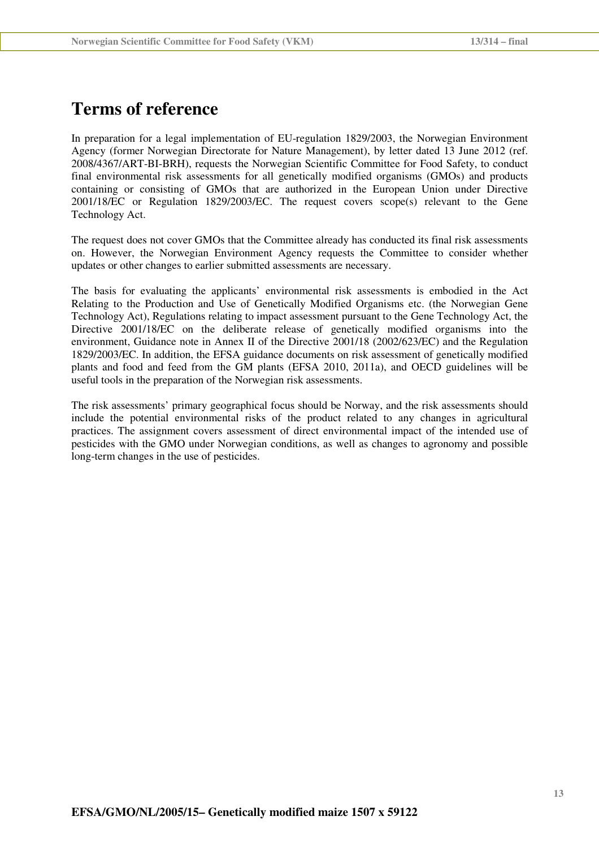## **Terms of reference**

In preparation for a legal implementation of EU-regulation 1829/2003, the Norwegian Environment Agency (former Norwegian Directorate for Nature Management), by letter dated 13 June 2012 (ref. 2008/4367/ART-BI-BRH), requests the Norwegian Scientific Committee for Food Safety, to conduct final environmental risk assessments for all genetically modified organisms (GMOs) and products containing or consisting of GMOs that are authorized in the European Union under Directive 2001/18/EC or Regulation 1829/2003/EC. The request covers scope(s) relevant to the Gene Technology Act.

The request does not cover GMOs that the Committee already has conducted its final risk assessments on. However, the Norwegian Environment Agency requests the Committee to consider whether updates or other changes to earlier submitted assessments are necessary.

The basis for evaluating the applicants' environmental risk assessments is embodied in the Act Relating to the Production and Use of Genetically Modified Organisms etc. (the Norwegian Gene Technology Act), Regulations relating to impact assessment pursuant to the Gene Technology Act, the Directive 2001/18/EC on the deliberate release of genetically modified organisms into the environment, Guidance note in Annex II of the Directive 2001/18 (2002/623/EC) and the Regulation 1829/2003/EC. In addition, the EFSA guidance documents on risk assessment of genetically modified plants and food and feed from the GM plants (EFSA 2010, 2011a), and OECD guidelines will be useful tools in the preparation of the Norwegian risk assessments.

The risk assessments' primary geographical focus should be Norway, and the risk assessments should include the potential environmental risks of the product related to any changes in agricultural practices. The assignment covers assessment of direct environmental impact of the intended use of pesticides with the GMO under Norwegian conditions, as well as changes to agronomy and possible long-term changes in the use of pesticides.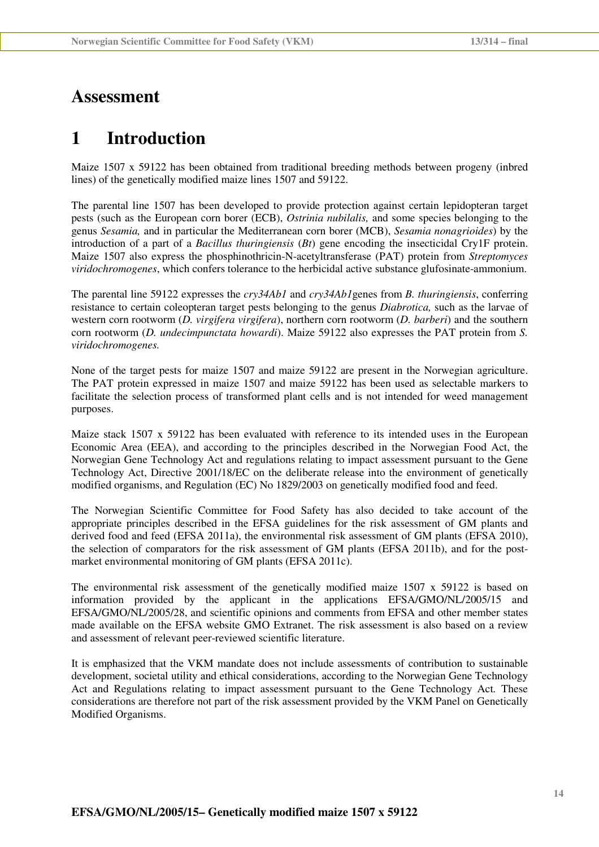## **Assessment**

## **1 Introduction**

Maize 1507 x 59122 has been obtained from traditional breeding methods between progeny (inbred lines) of the genetically modified maize lines 1507 and 59122.

The parental line 1507 has been developed to provide protection against certain lepidopteran target pests (such as the European corn borer (ECB), *Ostrinia nubilalis,* and some species belonging to the genus *Sesamia,* and in particular the Mediterranean corn borer (MCB), *Sesamia nonagrioides*) by the introduction of a part of a *Bacillus thuringiensis* (*Bt*) gene encoding the insecticidal Cry1F protein. Maize 1507 also express the phosphinothricin-N-acetyltransferase (PAT) protein from *Streptomyces viridochromogenes*, which confers tolerance to the herbicidal active substance glufosinate-ammonium.

The parental line 59122 expresses the *cry34Ab1* and *cry34Ab1*genes from *B. thuringiensis*, conferring resistance to certain coleopteran target pests belonging to the genus *Diabrotica,* such as the larvae of western corn rootworm (*D. virgifera virgifera*), northern corn rootworm (*D. barberi*) and the southern corn rootworm (*D. undecimpunctata howardi*). Maize 59122 also expresses the PAT protein from *S. viridochromogenes.* 

None of the target pests for maize 1507 and maize 59122 are present in the Norwegian agriculture. The PAT protein expressed in maize 1507 and maize 59122 has been used as selectable markers to facilitate the selection process of transformed plant cells and is not intended for weed management purposes.

Maize stack 1507 x 59122 has been evaluated with reference to its intended uses in the European Economic Area (EEA), and according to the principles described in the Norwegian Food Act, the Norwegian Gene Technology Act and regulations relating to impact assessment pursuant to the Gene Technology Act, Directive 2001/18/EC on the deliberate release into the environment of genetically modified organisms, and Regulation (EC) No 1829/2003 on genetically modified food and feed.

The Norwegian Scientific Committee for Food Safety has also decided to take account of the appropriate principles described in the EFSA guidelines for the risk assessment of GM plants and derived food and feed (EFSA 2011a), the environmental risk assessment of GM plants (EFSA 2010), the selection of comparators for the risk assessment of GM plants (EFSA 2011b), and for the postmarket environmental monitoring of GM plants (EFSA 2011c).

The environmental risk assessment of the genetically modified maize 1507 x 59122 is based on information provided by the applicant in the applications EFSA/GMO/NL/2005/15 and EFSA/GMO/NL/2005/28, and scientific opinions and comments from EFSA and other member states made available on the EFSA website GMO Extranet. The risk assessment is also based on a review and assessment of relevant peer-reviewed scientific literature.

It is emphasized that the VKM mandate does not include assessments of contribution to sustainable development, societal utility and ethical considerations, according to the Norwegian Gene Technology Act and Regulations relating to impact assessment pursuant to the Gene Technology Act*.* These considerations are therefore not part of the risk assessment provided by the VKM Panel on Genetically Modified Organisms.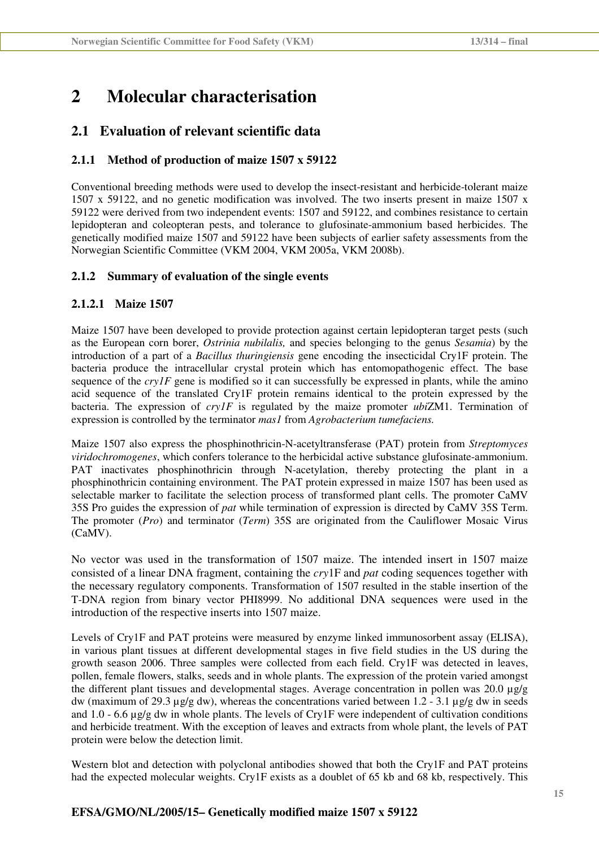## **2 Molecular characterisation**

## **2.1 Evaluation of relevant scientific data**

### **2.1.1 Method of production of maize 1507 x 59122**

Conventional breeding methods were used to develop the insect-resistant and herbicide-tolerant maize 1507 x 59122, and no genetic modification was involved. The two inserts present in maize 1507 x 59122 were derived from two independent events: 1507 and 59122, and combines resistance to certain lepidopteran and coleopteran pests, and tolerance to glufosinate-ammonium based herbicides. The genetically modified maize 1507 and 59122 have been subjects of earlier safety assessments from the Norwegian Scientific Committee (VKM 2004, VKM 2005a, VKM 2008b).

### **2.1.2 Summary of evaluation of the single events**

### **2.1.2.1 Maize 1507**

Maize 1507 have been developed to provide protection against certain lepidopteran target pests (such as the European corn borer, *Ostrinia nubilalis,* and species belonging to the genus *Sesamia*) by the introduction of a part of a *Bacillus thuringiensis* gene encoding the insecticidal Cry1F protein. The bacteria produce the intracellular crystal protein which has entomopathogenic effect. The base sequence of the *cry1F* gene is modified so it can successfully be expressed in plants, while the amino acid sequence of the translated Cry1F protein remains identical to the protein expressed by the bacteria. The expression of *cry1F* is regulated by the maize promoter *ubi*ZM1. Termination of expression is controlled by the terminator *mas1* from *Agrobacterium tumefaciens.*

Maize 1507 also express the phosphinothricin-N-acetyltransferase (PAT) protein from *Streptomyces viridochromogenes*, which confers tolerance to the herbicidal active substance glufosinate-ammonium. PAT inactivates phosphinothricin through N-acetylation, thereby protecting the plant in a phosphinothricin containing environment. The PAT protein expressed in maize 1507 has been used as selectable marker to facilitate the selection process of transformed plant cells. The promoter CaMV 35S Pro guides the expression of *pat* while termination of expression is directed by CaMV 35S Term. The promoter (*Pro*) and terminator (*Term*) 35S are originated from the Cauliflower Mosaic Virus (CaMV).

No vector was used in the transformation of 1507 maize. The intended insert in 1507 maize consisted of a linear DNA fragment, containing the *cry*1F and *pat* coding sequences together with the necessary regulatory components. Transformation of 1507 resulted in the stable insertion of the T-DNA region from binary vector PHI8999. No additional DNA sequences were used in the introduction of the respective inserts into 1507 maize.

Levels of Cry1F and PAT proteins were measured by enzyme linked immunosorbent assay (ELISA), in various plant tissues at different developmental stages in five field studies in the US during the growth season 2006. Three samples were collected from each field. Cry1F was detected in leaves, pollen, female flowers, stalks, seeds and in whole plants. The expression of the protein varied amongst the different plant tissues and developmental stages. Average concentration in pollen was 20.0  $\mu$ g/g dw (maximum of 29.3  $\mu$ g/g dw), whereas the concentrations varied between 1.2 - 3.1  $\mu$ g/g dw in seeds and 1.0 - 6.6  $\mu$ g/g dw in whole plants. The levels of Cry1F were independent of cultivation conditions and herbicide treatment. With the exception of leaves and extracts from whole plant, the levels of PAT protein were below the detection limit.

Western blot and detection with polyclonal antibodies showed that both the Cry1F and PAT proteins had the expected molecular weights. Cry1F exists as a doublet of 65 kb and 68 kb, respectively. This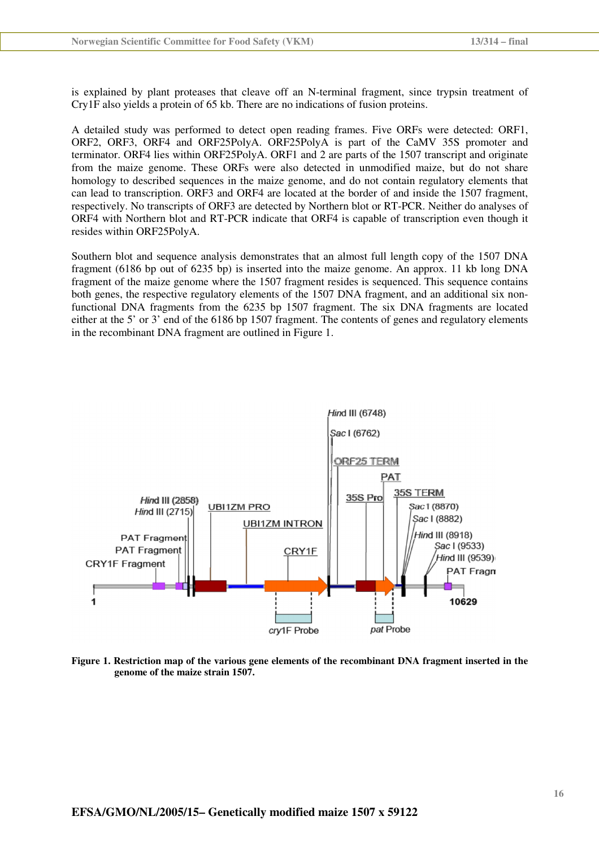is explained by plant proteases that cleave off an N-terminal fragment, since trypsin treatment of Cry1F also yields a protein of 65 kb. There are no indications of fusion proteins.

A detailed study was performed to detect open reading frames. Five ORFs were detected: ORF1, ORF2, ORF3, ORF4 and ORF25PolyA. ORF25PolyA is part of the CaMV 35S promoter and terminator. ORF4 lies within ORF25PolyA. ORF1 and 2 are parts of the 1507 transcript and originate from the maize genome. These ORFs were also detected in unmodified maize, but do not share homology to described sequences in the maize genome, and do not contain regulatory elements that can lead to transcription. ORF3 and ORF4 are located at the border of and inside the 1507 fragment, respectively. No transcripts of ORF3 are detected by Northern blot or RT-PCR. Neither do analyses of ORF4 with Northern blot and RT-PCR indicate that ORF4 is capable of transcription even though it resides within ORF25PolyA.

Southern blot and sequence analysis demonstrates that an almost full length copy of the 1507 DNA fragment (6186 bp out of 6235 bp) is inserted into the maize genome. An approx. 11 kb long DNA fragment of the maize genome where the 1507 fragment resides is sequenced. This sequence contains both genes, the respective regulatory elements of the 1507 DNA fragment, and an additional six nonfunctional DNA fragments from the 6235 bp 1507 fragment. The six DNA fragments are located either at the 5' or 3' end of the 6186 bp 1507 fragment. The contents of genes and regulatory elements in the recombinant DNA fragment are outlined in Figure 1.



**Figure 1. Restriction map of the various gene elements of the recombinant DNA fragment inserted in the genome of the maize strain 1507.**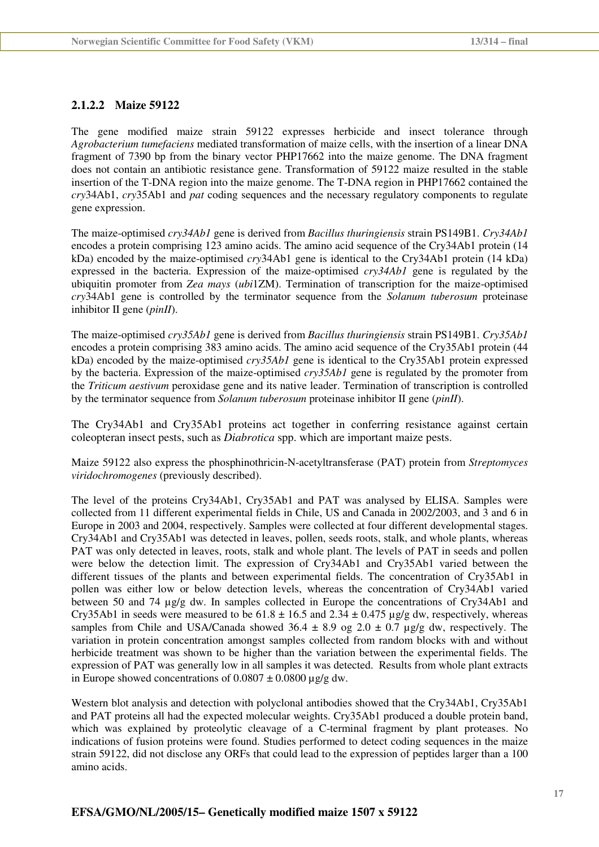#### **2.1.2.2 Maize 59122**

The gene modified maize strain 59122 expresses herbicide and insect tolerance through *Agrobacterium tumefaciens* mediated transformation of maize cells, with the insertion of a linear DNA fragment of 7390 bp from the binary vector PHP17662 into the maize genome. The DNA fragment does not contain an antibiotic resistance gene. Transformation of 59122 maize resulted in the stable insertion of the T-DNA region into the maize genome. The T-DNA region in PHP17662 contained the *cry*34Ab1, *cry*35Ab1 and *pat* coding sequences and the necessary regulatory components to regulate gene expression.

The maize-optimised *cry34Ab1* gene is derived from *Bacillus thuringiensis* strain PS149B1. *Cry34Ab1*  encodes a protein comprising 123 amino acids. The amino acid sequence of the Cry34Ab1 protein (14 kDa) encoded by the maize-optimised *cry*34Ab1 gene is identical to the Cry34Ab1 protein (14 kDa) expressed in the bacteria. Expression of the maize-optimised *cry34Ab1* gene is regulated by the ubiquitin promoter from *Zea mays* (*ubi*1ZM). Termination of transcription for the maize-optimised *cry*34Ab1 gene is controlled by the terminator sequence from the *Solanum tuberosum* proteinase inhibitor II gene (*pinII*).

The maize-optimised *cry35Ab1* gene is derived from *Bacillus thuringiensis* strain PS149B1. *Cry35Ab1* encodes a protein comprising 383 amino acids. The amino acid sequence of the Cry35Ab1 protein (44 kDa) encoded by the maize-optimised *cry35Ab1* gene is identical to the Cry35Ab1 protein expressed by the bacteria. Expression of the maize-optimised *cry35Ab1* gene is regulated by the promoter from the *Triticum aestivum* peroxidase gene and its native leader. Termination of transcription is controlled by the terminator sequence from *Solanum tuberosum* proteinase inhibitor II gene (*pinII*).

The Cry34Ab1 and Cry35Ab1 proteins act together in conferring resistance against certain coleopteran insect pests, such as *Diabrotica* spp. which are important maize pests.

Maize 59122 also express the phosphinothricin-N-acetyltransferase (PAT) protein from *Streptomyces viridochromogenes* (previously described).

The level of the proteins Cry34Ab1, Cry35Ab1 and PAT was analysed by ELISA. Samples were collected from 11 different experimental fields in Chile, US and Canada in 2002/2003, and 3 and 6 in Europe in 2003 and 2004, respectively. Samples were collected at four different developmental stages. Cry34Ab1 and Cry35Ab1 was detected in leaves, pollen, seeds roots, stalk, and whole plants, whereas PAT was only detected in leaves, roots, stalk and whole plant. The levels of PAT in seeds and pollen were below the detection limit. The expression of Cry34Ab1 and Cry35Ab1 varied between the different tissues of the plants and between experimental fields. The concentration of Cry35Ab1 in pollen was either low or below detection levels, whereas the concentration of Cry34Ab1 varied between 50 and 74 µg/g dw. In samples collected in Europe the concentrations of Cry34Ab1 and Cry35Ab1 in seeds were measured to be  $61.8 \pm 16.5$  and  $2.34 \pm 0.475$  ug/g dw, respectively, whereas samples from Chile and USA/Canada showed 36.4  $\pm$  8.9 og 2.0  $\pm$  0.7 µg/g dw, respectively. The variation in protein concentration amongst samples collected from random blocks with and without herbicide treatment was shown to be higher than the variation between the experimental fields. The expression of PAT was generally low in all samples it was detected. Results from whole plant extracts in Europe showed concentrations of  $0.0807 \pm 0.0800$  µg/g dw.

Western blot analysis and detection with polyclonal antibodies showed that the Cry34Ab1, Cry35Ab1 and PAT proteins all had the expected molecular weights. Cry35Ab1 produced a double protein band, which was explained by proteolytic cleavage of a C-terminal fragment by plant proteases. No indications of fusion proteins were found. Studies performed to detect coding sequences in the maize strain 59122, did not disclose any ORFs that could lead to the expression of peptides larger than a 100 amino acids.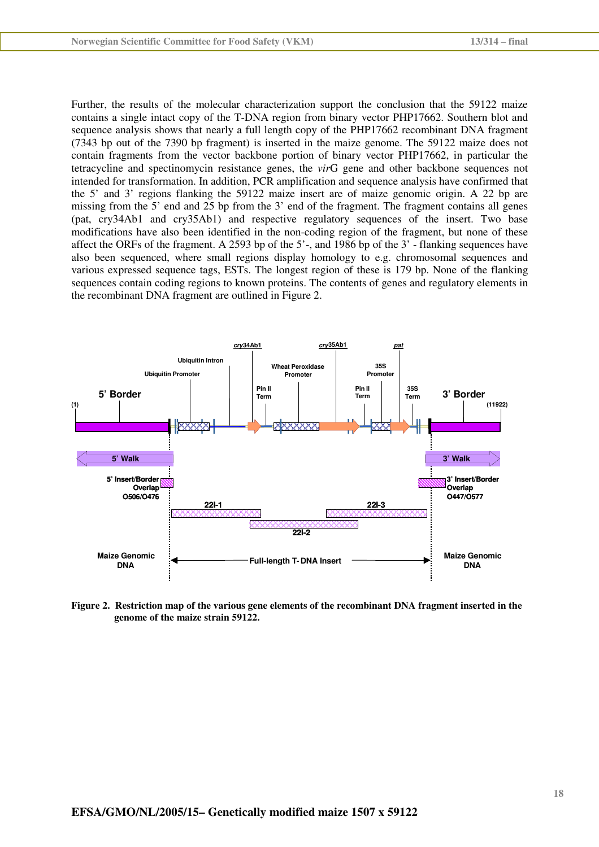Further, the results of the molecular characterization support the conclusion that the 59122 maize contains a single intact copy of the T-DNA region from binary vector PHP17662. Southern blot and sequence analysis shows that nearly a full length copy of the PHP17662 recombinant DNA fragment (7343 bp out of the 7390 bp fragment) is inserted in the maize genome. The 59122 maize does not contain fragments from the vector backbone portion of binary vector PHP17662, in particular the tetracycline and spectinomycin resistance genes, the *vir*G gene and other backbone sequences not intended for transformation. In addition, PCR amplification and sequence analysis have confirmed that the 5' and 3' regions flanking the 59122 maize insert are of maize genomic origin. A 22 bp are missing from the 5' end and 25 bp from the 3' end of the fragment. The fragment contains all genes (pat, cry34Ab1 and cry35Ab1) and respective regulatory sequences of the insert. Two base modifications have also been identified in the non-coding region of the fragment, but none of these affect the ORFs of the fragment. A 2593 bp of the 5'-, and 1986 bp of the 3' - flanking sequences have also been sequenced, where small regions display homology to e.g. chromosomal sequences and various expressed sequence tags, ESTs. The longest region of these is 179 bp. None of the flanking sequences contain coding regions to known proteins. The contents of genes and regulatory elements in the recombinant DNA fragment are outlined in Figure 2.



**Figure 2. Restriction map of the various gene elements of the recombinant DNA fragment inserted in the genome of the maize strain 59122.**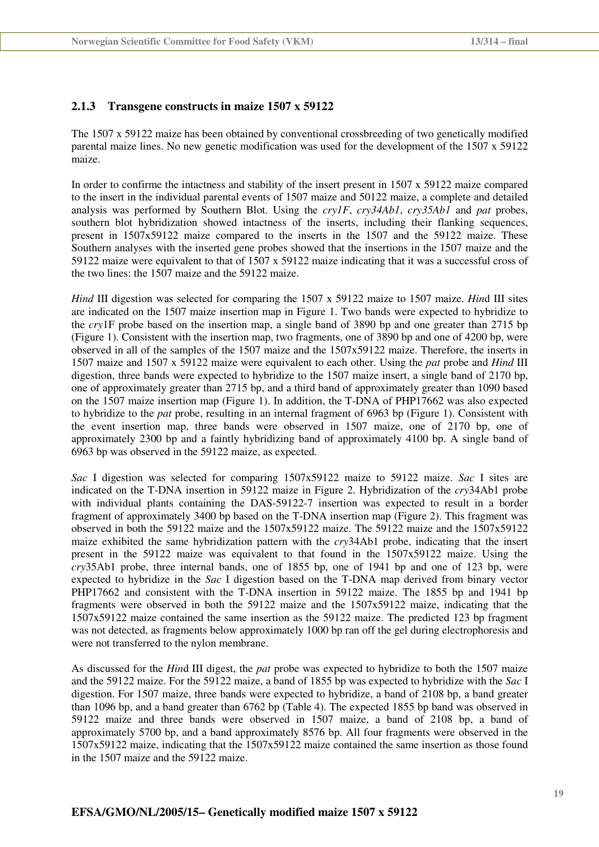### **2.1.3 Transgene constructs in maize 1507 x 59122**

The 1507 x 59122 maize has been obtained by conventional crossbreeding of two genetically modified parental maize lines. No new genetic modification was used for the development of the 1507 x 59122 maize.

In order to confirme the intactness and stability of the insert present in 1507 x 59122 maize compared to the insert in the individual parental events of 1507 maize and 50122 maize, a complete and detailed analysis was performed by Southern Blot. Using the *cry1F*, *cry34Ab1*, *cry35Ab1* and *pat* probes, southern blot hybridization showed intactness of the inserts, including their flanking sequences, present in 1507x59122 maize compared to the inserts in the 1507 and the 59122 maize. These Southern analyses with the inserted gene probes showed that the insertions in the 1507 maize and the 59122 maize were equivalent to that of 1507 x 59122 maize indicating that it was a successful cross of the two lines: the 1507 maize and the 59122 maize.

*Hind* III digestion was selected for comparing the 1507 x 59122 maize to 1507 maize. *Hin*d III sites are indicated on the 1507 maize insertion map in Figure 1. Two bands were expected to hybridize to the *cry*1F probe based on the insertion map, a single band of 3890 bp and one greater than 2715 bp (Figure 1). Consistent with the insertion map, two fragments, one of 3890 bp and one of 4200 bp, were observed in all of the samples of the 1507 maize and the 1507x59122 maize. Therefore, the inserts in 1507 maize and 1507 x 59122 maize were equivalent to each other. Using the *pat* probe and *Hind* III digestion, three bands were expected to hybridize to the 1507 maize insert, a single band of 2170 bp, one of approximately greater than 2715 bp, and a third band of approximately greater than 1090 based on the 1507 maize insertion map (Figure 1). In addition, the T-DNA of PHP17662 was also expected to hybridize to the *pat* probe, resulting in an internal fragment of 6963 bp (Figure 1). Consistent with the event insertion map, three bands were observed in 1507 maize, one of 2170 bp, one of approximately 2300 bp and a faintly hybridizing band of approximately 4100 bp. A single band of 6963 bp was observed in the 59122 maize, as expected.

*Sac* I digestion was selected for comparing 1507x59122 maize to 59122 maize. *Sac* I sites are indicated on the T-DNA insertion in 59122 maize in Figure 2. Hybridization of the *cry*34Ab1 probe with individual plants containing the DAS-59122-7 insertion was expected to result in a border fragment of approximately 3400 bp based on the T-DNA insertion map (Figure 2). This fragment was observed in both the 59122 maize and the 1507x59122 maize. The 59122 maize and the 1507x59122 maize exhibited the same hybridization pattern with the *cry*34Ab1 probe, indicating that the insert present in the 59122 maize was equivalent to that found in the 1507x59122 maize. Using the *cry*35Ab1 probe, three internal bands, one of 1855 bp, one of 1941 bp and one of 123 bp, were expected to hybridize in the *Sac* I digestion based on the T-DNA map derived from binary vector PHP17662 and consistent with the T-DNA insertion in 59122 maize. The 1855 bp and 1941 bp fragments were observed in both the 59122 maize and the 1507x59122 maize, indicating that the 1507x59122 maize contained the same insertion as the 59122 maize. The predicted 123 bp fragment was not detected, as fragments below approximately 1000 bp ran off the gel during electrophoresis and were not transferred to the nylon membrane.

As discussed for the *Hin*d III digest, the *pat* probe was expected to hybridize to both the 1507 maize and the 59122 maize. For the 59122 maize, a band of 1855 bp was expected to hybridize with the *Sac* I digestion. For 1507 maize, three bands were expected to hybridize, a band of 2108 bp, a band greater than 1096 bp, and a band greater than 6762 bp (Table 4). The expected 1855 bp band was observed in 59122 maize and three bands were observed in 1507 maize, a band of 2108 bp, a band of approximately 5700 bp, and a band approximately 8576 bp. All four fragments were observed in the 1507x59122 maize, indicating that the 1507x59122 maize contained the same insertion as those found in the 1507 maize and the 59122 maize.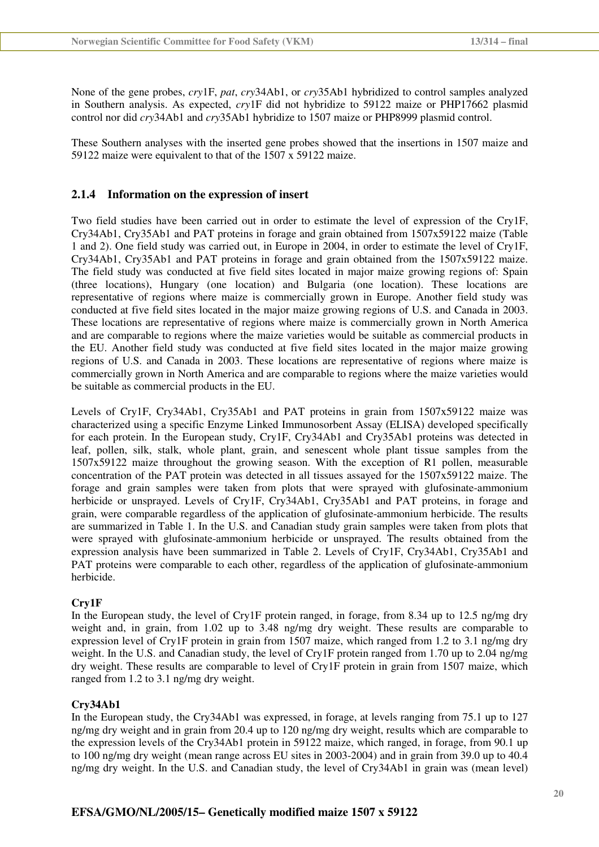None of the gene probes, *cry*1F, *pat*, *cry*34Ab1, or *cry*35Ab1 hybridized to control samples analyzed in Southern analysis. As expected, *cry*1F did not hybridize to 59122 maize or PHP17662 plasmid control nor did *cry*34Ab1 and *cry*35Ab1 hybridize to 1507 maize or PHP8999 plasmid control.

These Southern analyses with the inserted gene probes showed that the insertions in 1507 maize and 59122 maize were equivalent to that of the 1507 x 59122 maize.

#### **2.1.4 Information on the expression of insert**

Two field studies have been carried out in order to estimate the level of expression of the Cry1F, Cry34Ab1, Cry35Ab1 and PAT proteins in forage and grain obtained from 1507x59122 maize (Table 1 and 2). One field study was carried out, in Europe in 2004, in order to estimate the level of Cry1F, Cry34Ab1, Cry35Ab1 and PAT proteins in forage and grain obtained from the 1507x59122 maize. The field study was conducted at five field sites located in major maize growing regions of: Spain (three locations), Hungary (one location) and Bulgaria (one location). These locations are representative of regions where maize is commercially grown in Europe. Another field study was conducted at five field sites located in the major maize growing regions of U.S. and Canada in 2003. These locations are representative of regions where maize is commercially grown in North America and are comparable to regions where the maize varieties would be suitable as commercial products in the EU. Another field study was conducted at five field sites located in the major maize growing regions of U.S. and Canada in 2003. These locations are representative of regions where maize is commercially grown in North America and are comparable to regions where the maize varieties would be suitable as commercial products in the EU.

Levels of Cry1F, Cry34Ab1, Cry35Ab1 and PAT proteins in grain from 1507x59122 maize was characterized using a specific Enzyme Linked Immunosorbent Assay (ELISA) developed specifically for each protein. In the European study, Cry1F, Cry34Ab1 and Cry35Ab1 proteins was detected in leaf, pollen, silk, stalk, whole plant, grain, and senescent whole plant tissue samples from the 1507x59122 maize throughout the growing season. With the exception of R1 pollen, measurable concentration of the PAT protein was detected in all tissues assayed for the 1507x59122 maize. The forage and grain samples were taken from plots that were sprayed with glufosinate-ammonium herbicide or unsprayed. Levels of Cry1F, Cry34Ab1, Cry35Ab1 and PAT proteins, in forage and grain, were comparable regardless of the application of glufosinate-ammonium herbicide. The results are summarized in Table 1. In the U.S. and Canadian study grain samples were taken from plots that were sprayed with glufosinate-ammonium herbicide or unsprayed. The results obtained from the expression analysis have been summarized in Table 2. Levels of Cry1F, Cry34Ab1, Cry35Ab1 and PAT proteins were comparable to each other, regardless of the application of glufosinate-ammonium herbicide.

#### **Cry1F**

In the European study, the level of Cry1F protein ranged, in forage, from 8.34 up to 12.5 ng/mg dry weight and, in grain, from 1.02 up to 3.48 ng/mg dry weight. These results are comparable to expression level of Cry1F protein in grain from 1507 maize, which ranged from 1.2 to 3.1 ng/mg dry weight. In the U.S. and Canadian study, the level of Cry1F protein ranged from 1.70 up to 2.04 ng/mg dry weight. These results are comparable to level of Cry1F protein in grain from 1507 maize, which ranged from 1.2 to 3.1 ng/mg dry weight.

#### **Cry34Ab1**

In the European study, the Cry34Ab1 was expressed, in forage, at levels ranging from 75.1 up to 127 ng/mg dry weight and in grain from 20.4 up to 120 ng/mg dry weight, results which are comparable to the expression levels of the Cry34Ab1 protein in 59122 maize, which ranged, in forage, from 90.1 up to 100 ng/mg dry weight (mean range across EU sites in 2003-2004) and in grain from 39.0 up to 40.4 ng/mg dry weight. In the U.S. and Canadian study, the level of Cry34Ab1 in grain was (mean level)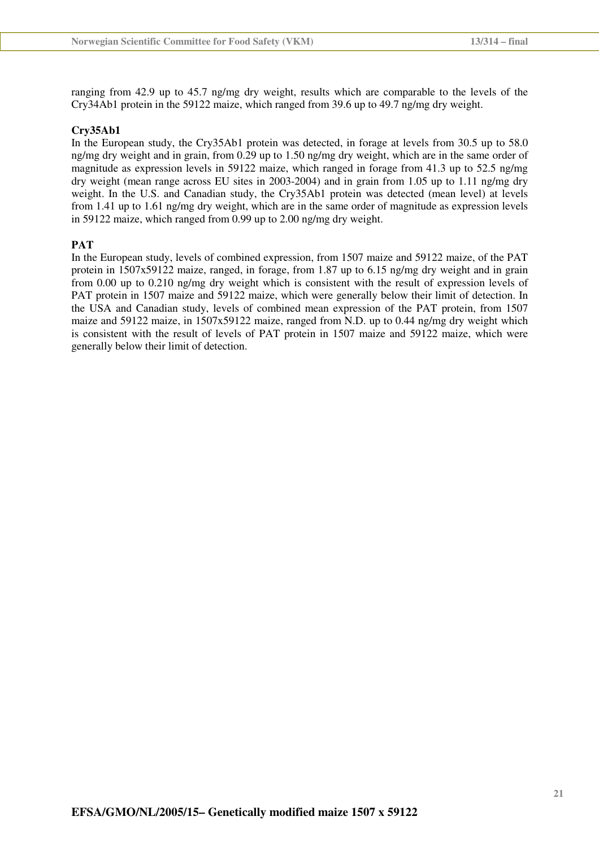ranging from 42.9 up to 45.7 ng/mg dry weight, results which are comparable to the levels of the Cry34Ab1 protein in the 59122 maize, which ranged from 39.6 up to 49.7 ng/mg dry weight.

#### **Cry35Ab1**

In the European study, the Cry35Ab1 protein was detected, in forage at levels from 30.5 up to 58.0 ng/mg dry weight and in grain, from 0.29 up to 1.50 ng/mg dry weight, which are in the same order of magnitude as expression levels in 59122 maize, which ranged in forage from 41.3 up to 52.5 ng/mg dry weight (mean range across EU sites in 2003-2004) and in grain from 1.05 up to 1.11 ng/mg dry weight. In the U.S. and Canadian study, the Cry35Ab1 protein was detected (mean level) at levels from 1.41 up to 1.61 ng/mg dry weight, which are in the same order of magnitude as expression levels in 59122 maize, which ranged from 0.99 up to 2.00 ng/mg dry weight.

#### **PAT**

In the European study, levels of combined expression, from 1507 maize and 59122 maize, of the PAT protein in 1507x59122 maize, ranged, in forage, from 1.87 up to 6.15 ng/mg dry weight and in grain from 0.00 up to 0.210 ng/mg dry weight which is consistent with the result of expression levels of PAT protein in 1507 maize and 59122 maize, which were generally below their limit of detection. In the USA and Canadian study, levels of combined mean expression of the PAT protein, from 1507 maize and 59122 maize, in 1507x59122 maize, ranged from N.D. up to 0.44 ng/mg dry weight which is consistent with the result of levels of PAT protein in 1507 maize and 59122 maize, which were generally below their limit of detection.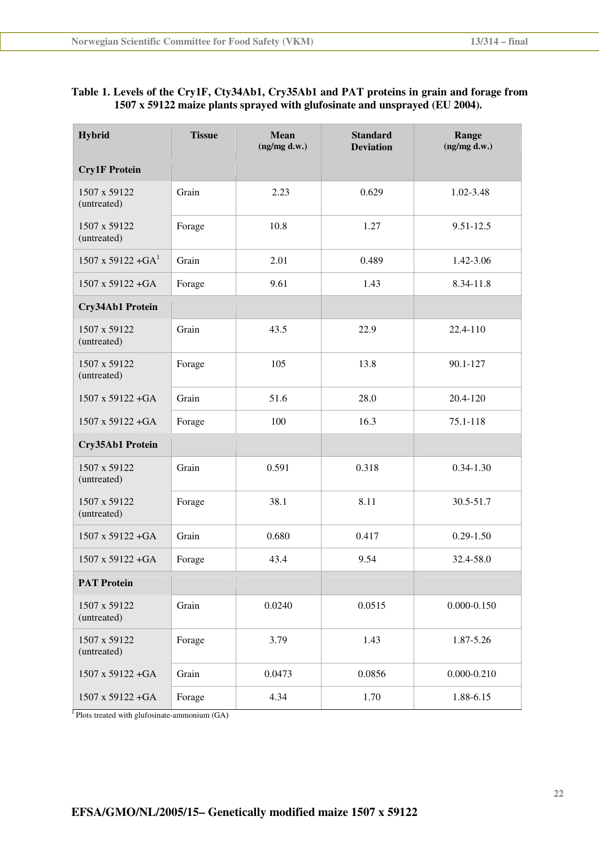### **Table 1. Levels of the Cry1F, Cty34Ab1, Cry35Ab1 and PAT proteins in grain and forage from 1507 x 59122 maize plants sprayed with glufosinate and unsprayed (EU 2004).**

| <b>Hybrid</b>                | <b>Tissue</b> | <b>Mean</b><br>(ng/mg d.w.) | <b>Standard</b><br><b>Deviation</b> | Range<br>(ng/mg d.w.) |
|------------------------------|---------------|-----------------------------|-------------------------------------|-----------------------|
| <b>Cry1F Protein</b>         |               |                             |                                     |                       |
| 1507 x 59122<br>(untreated)  | Grain         | 2.23                        | 0.629                               | 1.02-3.48             |
| 1507 x 59122<br>(untreated)  | Forage        | 10.8                        | 1.27                                | $9.51 - 12.5$         |
| $1507 \times 59122 + GA^{1}$ | Grain         | 2.01                        | 0.489                               | 1.42-3.06             |
| 1507 x 59122 + GA            | Forage        | 9.61                        | 1.43                                | 8.34-11.8             |
| Cry34Ab1 Protein             |               |                             |                                     |                       |
| 1507 x 59122<br>(untreated)  | Grain         | 43.5                        | 22.9                                | 22.4-110              |
| 1507 x 59122<br>(untreated)  | Forage        | 105                         | 13.8                                | 90.1-127              |
| 1507 x 59122 + GA            | Grain         | 51.6                        | 28.0                                | 20.4-120              |
| $1507 \times 59122 + GA$     | Forage        | 100                         | 16.3                                | 75.1-118              |
| Cry35Ab1 Protein             |               |                             |                                     |                       |
| 1507 x 59122<br>(untreated)  | Grain         | 0.591                       | 0.318                               | $0.34 - 1.30$         |
| 1507 x 59122<br>(untreated)  | Forage        | 38.1                        | 8.11                                | 30.5-51.7             |
| $1507 \times 59122 + GA$     | Grain         | 0.680                       | 0.417                               | $0.29 - 1.50$         |
| 1507 x 59122 + GA            | Forage        | 43.4                        | 9.54                                | 32.4-58.0             |
| <b>PAT Protein</b>           |               |                             |                                     |                       |
| 1507 x 59122<br>(untreated)  | Grain         | 0.0240                      | 0.0515                              | $0.000 - 0.150$       |
| 1507 x 59122<br>(untreated)  | Forage        | 3.79                        | 1.43                                | 1.87-5.26             |
| $1507 \times 59122 + GA$     | Grain         | 0.0473                      | 0.0856                              | $0.000 - 0.210$       |
| 1507 x 59122 + GA            | Forage        | 4.34                        | 1.70                                | 1.88-6.15             |

<sup>1</sup>Plots treated with glufosinate-ammonium (GA)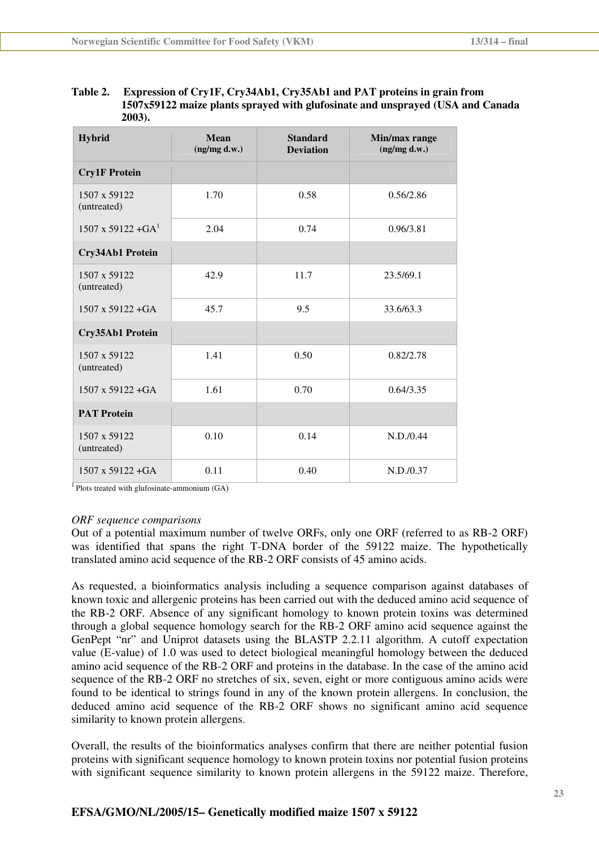| Table 2. | Expression of Cry1F, Cry34Ab1, Cry35Ab1 and PAT proteins in grain from          |
|----------|---------------------------------------------------------------------------------|
|          | 1507x59122 maize plants sprayed with glufosinate and unsprayed (USA and Canada) |
|          | $2003$ ).                                                                       |

| <b>Hybrid</b>               | <b>Mean</b><br>(ng/mg d.w.) | <b>Standard</b><br><b>Deviation</b> | Min/max range<br>(ng/mg d.w.) |
|-----------------------------|-----------------------------|-------------------------------------|-------------------------------|
| <b>Cry1F Protein</b>        |                             |                                     |                               |
| 1507 x 59122<br>(untreated) | 1.70                        | 0.58                                | 0.56/2.86                     |
| $1507 \times 59122 + GA1$   | 2.04                        | 0.74                                | 0.96/3.81                     |
| Cry34Ab1 Protein            |                             |                                     |                               |
| 1507 x 59122<br>(untreated) | 42.9                        | 11.7                                | 23.5/69.1                     |
| $1507 \times 59122 + GA$    | 45.7                        | 9.5                                 | 33.6/63.3                     |
| Cry35Ab1 Protein            |                             |                                     |                               |
| 1507 x 59122<br>(untreated) | 1.41                        | 0.50                                | 0.82/2.78                     |
| $1507 \times 59122 + GA$    | 1.61                        | 0.70                                | 0.64/3.35                     |
| <b>PAT Protein</b>          |                             |                                     |                               |
| 1507 x 59122<br>(untreated) | 0.10                        | 0.14                                | N.D. / 0.44                   |
| $1507 \times 59122 + GA$    | 0.11                        | 0.40                                | N.D. / 0.37                   |

 $1$ Plots treated with glufosinate-ammonium (GA)

#### *ORF sequence comparisons*

Out of a potential maximum number of twelve ORFs, only one ORF (referred to as RB-2 ORF) was identified that spans the right T-DNA border of the 59122 maize. The hypothetically translated amino acid sequence of the RB-2 ORF consists of 45 amino acids.

As requested, a bioinformatics analysis including a sequence comparison against databases of known toxic and allergenic proteins has been carried out with the deduced amino acid sequence of the RB-2 ORF. Absence of any significant homology to known protein toxins was determined through a global sequence homology search for the RB-2 ORF amino acid sequence against the GenPept "nr" and Uniprot datasets using the BLASTP 2.2.11 algorithm. A cutoff expectation value (E-value) of 1.0 was used to detect biological meaningful homology between the deduced amino acid sequence of the RB-2 ORF and proteins in the database. In the case of the amino acid sequence of the RB-2 ORF no stretches of six, seven, eight or more contiguous amino acids were found to be identical to strings found in any of the known protein allergens. In conclusion, the deduced amino acid sequence of the RB-2 ORF shows no significant amino acid sequence similarity to known protein allergens.

Overall, the results of the bioinformatics analyses confirm that there are neither potential fusion proteins with significant sequence homology to known protein toxins nor potential fusion proteins with significant sequence similarity to known protein allergens in the 59122 maize. Therefore,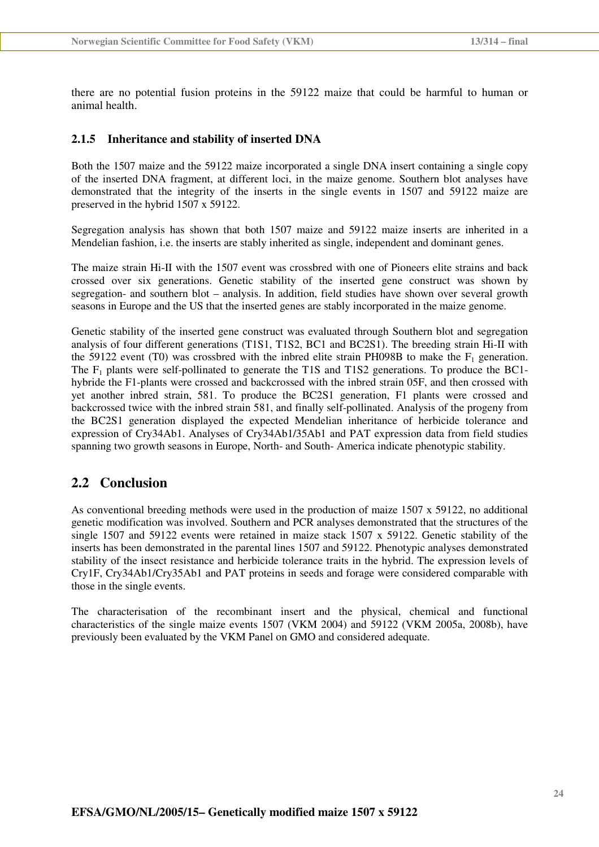there are no potential fusion proteins in the 59122 maize that could be harmful to human or animal health.

#### **2.1.5 Inheritance and stability of inserted DNA**

Both the 1507 maize and the 59122 maize incorporated a single DNA insert containing a single copy of the inserted DNA fragment, at different loci, in the maize genome. Southern blot analyses have demonstrated that the integrity of the inserts in the single events in 1507 and 59122 maize are preserved in the hybrid 1507 x 59122.

Segregation analysis has shown that both 1507 maize and 59122 maize inserts are inherited in a Mendelian fashion, i.e. the inserts are stably inherited as single, independent and dominant genes.

The maize strain Hi-II with the 1507 event was crossbred with one of Pioneers elite strains and back crossed over six generations. Genetic stability of the inserted gene construct was shown by segregation- and southern blot – analysis. In addition, field studies have shown over several growth seasons in Europe and the US that the inserted genes are stably incorporated in the maize genome.

Genetic stability of the inserted gene construct was evaluated through Southern blot and segregation analysis of four different generations (T1S1, T1S2, BC1 and BC2S1). The breeding strain Hi-II with the 59122 event (T0) was crossbred with the inbred elite strain PH098B to make the  $F_1$  generation. The  $F_1$  plants were self-pollinated to generate the T1S and T1S2 generations. To produce the BC1hybride the F1-plants were crossed and backcrossed with the inbred strain 05F, and then crossed with yet another inbred strain, 581. To produce the BC2S1 generation, F1 plants were crossed and backcrossed twice with the inbred strain 581, and finally self-pollinated. Analysis of the progeny from the BC2S1 generation displayed the expected Mendelian inheritance of herbicide tolerance and expression of Cry34Ab1. Analyses of Cry34Ab1/35Ab1 and PAT expression data from field studies spanning two growth seasons in Europe, North- and South- America indicate phenotypic stability.

### **2.2 Conclusion**

As conventional breeding methods were used in the production of maize 1507 x 59122, no additional genetic modification was involved. Southern and PCR analyses demonstrated that the structures of the single 1507 and 59122 events were retained in maize stack 1507 x 59122. Genetic stability of the inserts has been demonstrated in the parental lines 1507 and 59122. Phenotypic analyses demonstrated stability of the insect resistance and herbicide tolerance traits in the hybrid. The expression levels of Cry1F, Cry34Ab1/Cry35Ab1 and PAT proteins in seeds and forage were considered comparable with those in the single events.

The characterisation of the recombinant insert and the physical, chemical and functional characteristics of the single maize events 1507 (VKM 2004) and 59122 (VKM 2005a, 2008b), have previously been evaluated by the VKM Panel on GMO and considered adequate.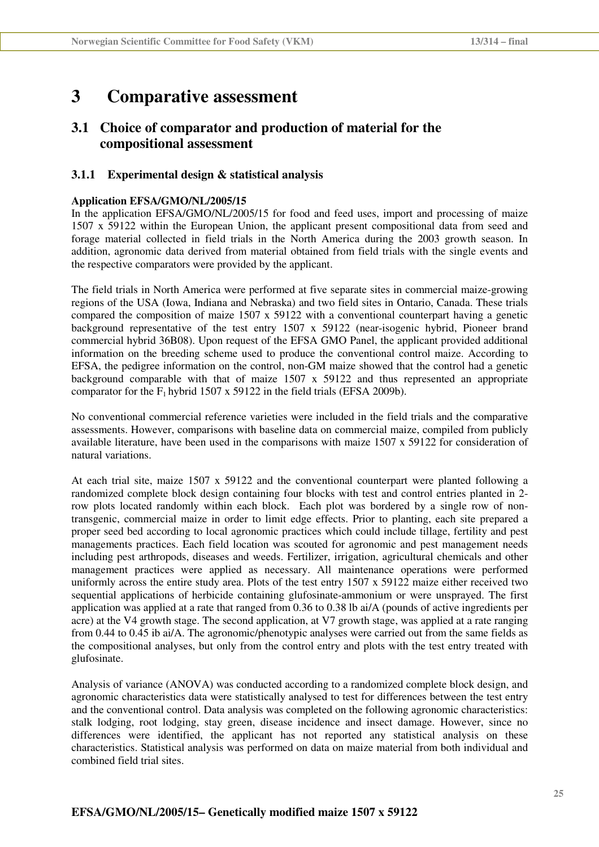## **3 Comparative assessment**

## **3.1 Choice of comparator and production of material for the compositional assessment**

#### **3.1.1 Experimental design & statistical analysis**

#### **Application EFSA/GMO/NL/2005/15**

In the application EFSA/GMO/NL/2005/15 for food and feed uses, import and processing of maize 1507 x 59122 within the European Union, the applicant present compositional data from seed and forage material collected in field trials in the North America during the 2003 growth season. In addition, agronomic data derived from material obtained from field trials with the single events and the respective comparators were provided by the applicant.

The field trials in North America were performed at five separate sites in commercial maize-growing regions of the USA (Iowa, Indiana and Nebraska) and two field sites in Ontario, Canada. These trials compared the composition of maize 1507 x 59122 with a conventional counterpart having a genetic background representative of the test entry 1507 x 59122 (near-isogenic hybrid, Pioneer brand commercial hybrid 36B08). Upon request of the EFSA GMO Panel, the applicant provided additional information on the breeding scheme used to produce the conventional control maize. According to EFSA, the pedigree information on the control, non-GM maize showed that the control had a genetic background comparable with that of maize 1507 x 59122 and thus represented an appropriate comparator for the  $F_1$  hybrid 1507 x 59122 in the field trials (EFSA 2009b).

No conventional commercial reference varieties were included in the field trials and the comparative assessments. However, comparisons with baseline data on commercial maize, compiled from publicly available literature, have been used in the comparisons with maize 1507 x 59122 for consideration of natural variations.

At each trial site, maize 1507 x 59122 and the conventional counterpart were planted following a randomized complete block design containing four blocks with test and control entries planted in 2 row plots located randomly within each block. Each plot was bordered by a single row of nontransgenic, commercial maize in order to limit edge effects. Prior to planting, each site prepared a proper seed bed according to local agronomic practices which could include tillage, fertility and pest managements practices. Each field location was scouted for agronomic and pest management needs including pest arthropods, diseases and weeds. Fertilizer, irrigation, agricultural chemicals and other management practices were applied as necessary. All maintenance operations were performed uniformly across the entire study area. Plots of the test entry 1507 x 59122 maize either received two sequential applications of herbicide containing glufosinate-ammonium or were unsprayed. The first application was applied at a rate that ranged from 0.36 to 0.38 lb ai/A (pounds of active ingredients per acre) at the V4 growth stage. The second application, at V7 growth stage, was applied at a rate ranging from 0.44 to 0.45 ib ai/A. The agronomic/phenotypic analyses were carried out from the same fields as the compositional analyses, but only from the control entry and plots with the test entry treated with glufosinate.

Analysis of variance (ANOVA) was conducted according to a randomized complete block design, and agronomic characteristics data were statistically analysed to test for differences between the test entry and the conventional control. Data analysis was completed on the following agronomic characteristics: stalk lodging, root lodging, stay green, disease incidence and insect damage. However, since no differences were identified, the applicant has not reported any statistical analysis on these characteristics. Statistical analysis was performed on data on maize material from both individual and combined field trial sites.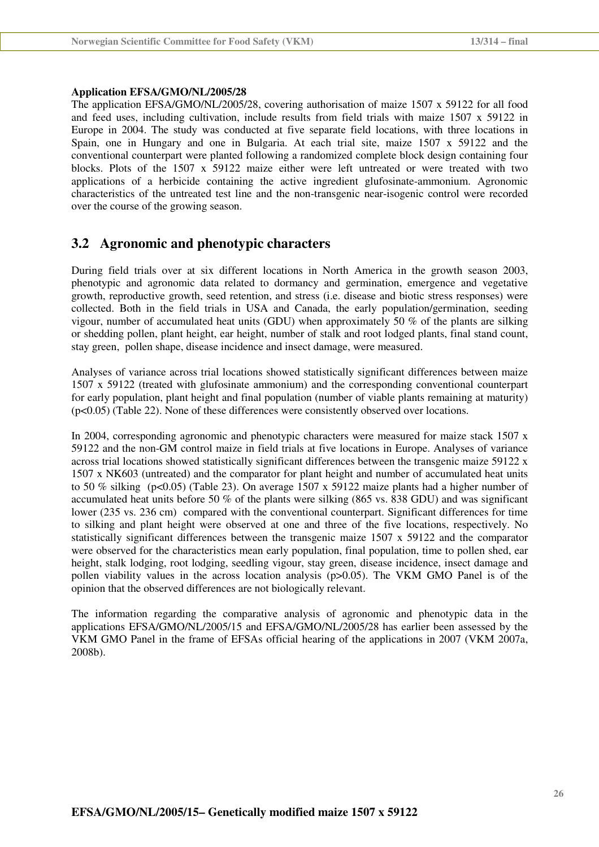#### **Application EFSA/GMO/NL/2005/28**

The application EFSA/GMO/NL/2005/28, covering authorisation of maize 1507 x 59122 for all food and feed uses, including cultivation, include results from field trials with maize 1507 x 59122 in Europe in 2004. The study was conducted at five separate field locations, with three locations in Spain, one in Hungary and one in Bulgaria. At each trial site, maize 1507 x 59122 and the conventional counterpart were planted following a randomized complete block design containing four blocks. Plots of the 1507 x 59122 maize either were left untreated or were treated with two applications of a herbicide containing the active ingredient glufosinate-ammonium. Agronomic characteristics of the untreated test line and the non-transgenic near-isogenic control were recorded over the course of the growing season.

### **3.2 Agronomic and phenotypic characters**

During field trials over at six different locations in North America in the growth season 2003, phenotypic and agronomic data related to dormancy and germination, emergence and vegetative growth, reproductive growth, seed retention, and stress (i.e. disease and biotic stress responses) were collected. Both in the field trials in USA and Canada, the early population/germination, seeding vigour, number of accumulated heat units (GDU) when approximately 50 % of the plants are silking or shedding pollen, plant height, ear height, number of stalk and root lodged plants, final stand count, stay green, pollen shape, disease incidence and insect damage, were measured.

Analyses of variance across trial locations showed statistically significant differences between maize 1507 x 59122 (treated with glufosinate ammonium) and the corresponding conventional counterpart for early population, plant height and final population (number of viable plants remaining at maturity) (p<0.05) (Table 22). None of these differences were consistently observed over locations.

In 2004, corresponding agronomic and phenotypic characters were measured for maize stack 1507 x 59122 and the non-GM control maize in field trials at five locations in Europe. Analyses of variance across trial locations showed statistically significant differences between the transgenic maize 59122 x 1507 x NK603 (untreated) and the comparator for plant height and number of accumulated heat units to 50 % silking (p<0.05) (Table 23). On average 1507 x 59122 maize plants had a higher number of accumulated heat units before 50 % of the plants were silking (865 vs. 838 GDU) and was significant lower (235 vs. 236 cm) compared with the conventional counterpart. Significant differences for time to silking and plant height were observed at one and three of the five locations, respectively. No statistically significant differences between the transgenic maize 1507 x 59122 and the comparator were observed for the characteristics mean early population, final population, time to pollen shed, ear height, stalk lodging, root lodging, seedling vigour, stay green, disease incidence, insect damage and pollen viability values in the across location analysis (p>0.05). The VKM GMO Panel is of the opinion that the observed differences are not biologically relevant.

The information regarding the comparative analysis of agronomic and phenotypic data in the applications EFSA/GMO/NL/2005/15 and EFSA/GMO/NL/2005/28 has earlier been assessed by the VKM GMO Panel in the frame of EFSAs official hearing of the applications in 2007 (VKM 2007a, 2008b).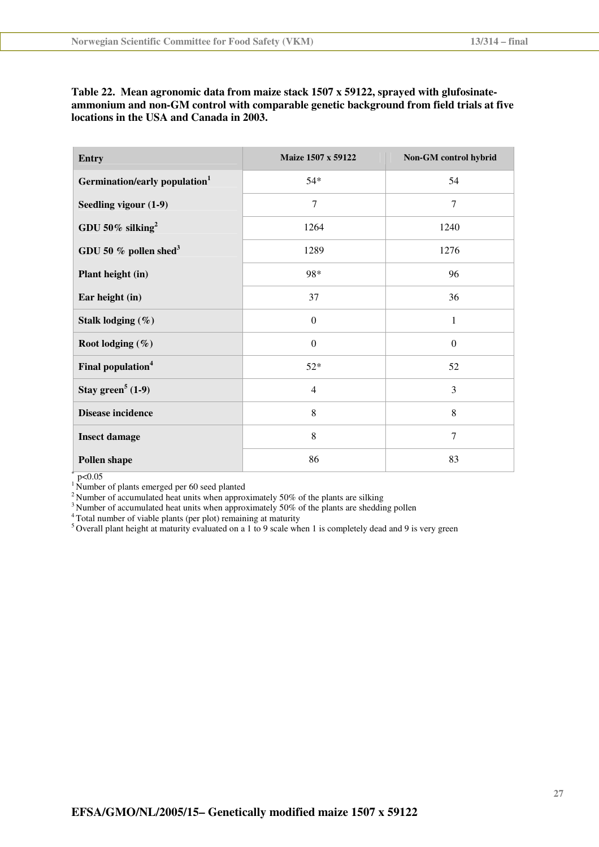| Table 22. Mean agronomic data from maize stack 1507 x 59122, sprayed with glufosinate-   |
|------------------------------------------------------------------------------------------|
| ammonium and non-GM control with comparable genetic background from field trials at five |
| locations in the USA and Canada in 2003.                                                 |

| <b>Entry</b>                              | Maize 1507 x 59122 | Non-GM control hybrid |
|-------------------------------------------|--------------------|-----------------------|
| Germination/early population <sup>1</sup> | $54*$              | 54                    |
| Seedling vigour (1-9)                     | $\overline{7}$     | $\overline{7}$        |
| GDU 50% silking <sup>2</sup>              | 1264               | 1240                  |
| GDU 50 $%$ pollen shed <sup>3</sup>       | 1289               | 1276                  |
| Plant height (in)                         | 98*                | 96                    |
| Ear height (in)                           | 37                 | 36                    |
| Stalk lodging $(\%)$                      | $\Omega$           | 1                     |
| Root lodging (%)                          | $\boldsymbol{0}$   | $\boldsymbol{0}$      |
| Final population <sup>4</sup>             | $52*$              | 52                    |
| Stay green <sup>5</sup> $(1-9)$           | $\overline{4}$     | 3                     |
| <b>Disease incidence</b>                  | 8                  | 8                     |
| <b>Insect damage</b>                      | 8                  | $\overline{7}$        |
| <b>Pollen shape</b>                       | 86                 | 83                    |

 $*$  p<0.05

<sup>1</sup> Number of plants emerged per 60 seed planted

<sup>2</sup> Number of accumulated heat units when approximately 50% of the plants are silking

 $3$  Number of accumulated heat units when approximately 50% of the plants are shedding pollen

<sup>4</sup> Total number of viable plants (per plot) remaining at maturity

 $5$  Overall plant height at maturity evaluated on a 1 to 9 scale when 1 is completely dead and 9 is very green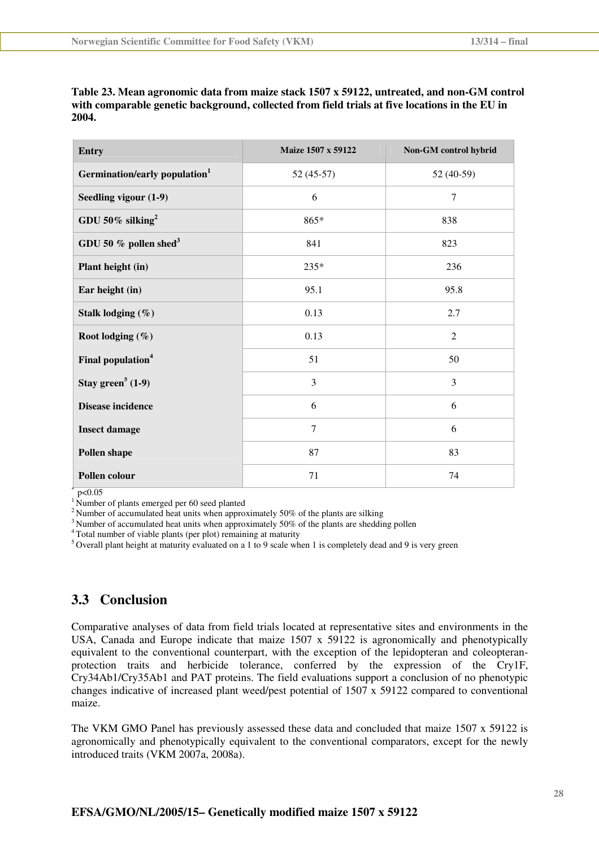| <b>Entry</b>                              | Maize 1507 x 59122 | Non-GM control hybrid |
|-------------------------------------------|--------------------|-----------------------|
| Germination/early population <sup>1</sup> | $52(45-57)$        | 52 (40-59)            |
| Seedling vigour (1-9)                     | 6                  | $\overline{7}$        |
| GDU 50% silking <sup>2</sup>              | $865*$             | 838                   |
| GDU 50 $%$ pollen shed <sup>3</sup>       | 841                | 823                   |
| Plant height (in)                         | 235*               | 236                   |
| Ear height (in)                           | 95.1               | 95.8                  |
| Stalk lodging $(\%)$                      | 0.13               | 2.7                   |
| Root lodging (%)                          | 0.13               | $\overline{2}$        |
| Final population <sup>4</sup>             | 51                 | 50                    |
| Stay green <sup>5</sup> $(1-9)$           | $\overline{3}$     | $\overline{3}$        |
| <b>Disease incidence</b>                  | 6                  | 6                     |
| <b>Insect damage</b>                      | $\overline{7}$     | 6                     |
| <b>Pollen shape</b>                       | 87                 | 83                    |
| Pollen colour                             | 71                 | 74                    |

**Table 23. Mean agronomic data from maize stack 1507 x 59122, untreated, and non-GM control with comparable genetic background, collected from field trials at five locations in the EU in 2004.** 

 $p < 0.05$ 

<sup>1</sup> Number of plants emerged per 60 seed planted

<sup>2</sup>Number of accumulated heat units when approximately 50% of the plants are silking

<sup>3</sup>Number of accumulated heat units when approximately 50% of the plants are shedding pollen

<sup>4</sup>Total number of viable plants (per plot) remaining at maturity

 $5$  Overall plant height at maturity evaluated on a 1 to 9 scale when 1 is completely dead and 9 is very green

### **3.3 Conclusion**

Comparative analyses of data from field trials located at representative sites and environments in the USA, Canada and Europe indicate that maize 1507 x 59122 is agronomically and phenotypically equivalent to the conventional counterpart, with the exception of the lepidopteran and coleopteranprotection traits and herbicide tolerance, conferred by the expression of the Cry1F, Cry34Ab1/Cry35Ab1 and PAT proteins. The field evaluations support a conclusion of no phenotypic changes indicative of increased plant weed/pest potential of 1507 x 59122 compared to conventional maize.

The VKM GMO Panel has previously assessed these data and concluded that maize 1507 x 59122 is agronomically and phenotypically equivalent to the conventional comparators, except for the newly introduced traits (VKM 2007a, 2008a).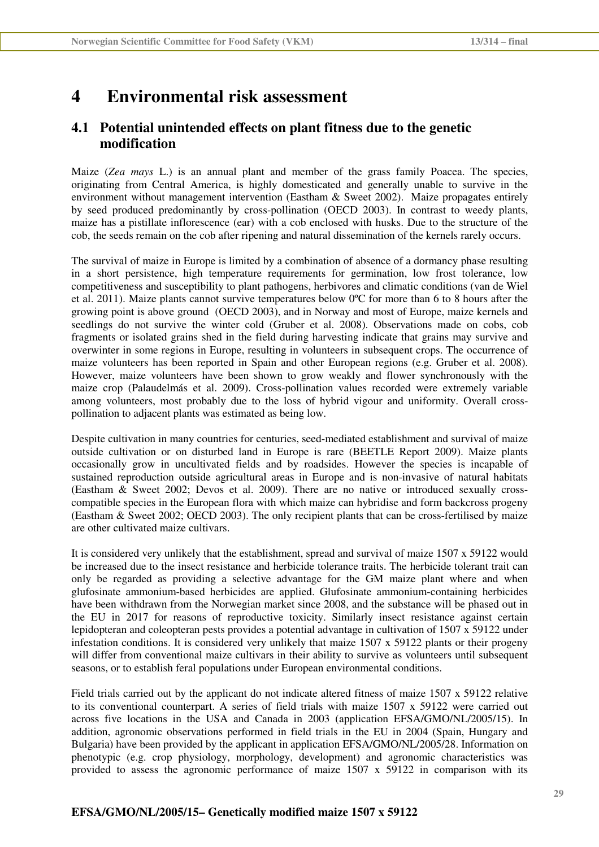## **4 Environmental risk assessment**

### **4.1 Potential unintended effects on plant fitness due to the genetic modification**

Maize (*Zea mays* L.) is an annual plant and member of the grass family Poacea. The species, originating from Central America, is highly domesticated and generally unable to survive in the environment without management intervention (Eastham & Sweet 2002). Maize propagates entirely by seed produced predominantly by cross-pollination (OECD 2003). In contrast to weedy plants, maize has a pistillate inflorescence (ear) with a cob enclosed with husks. Due to the structure of the cob, the seeds remain on the cob after ripening and natural dissemination of the kernels rarely occurs.

The survival of maize in Europe is limited by a combination of absence of a dormancy phase resulting in a short persistence, high temperature requirements for germination, low frost tolerance, low competitiveness and susceptibility to plant pathogens, herbivores and climatic conditions (van de Wiel et al. 2011). Maize plants cannot survive temperatures below 0ºC for more than 6 to 8 hours after the growing point is above ground (OECD 2003), and in Norway and most of Europe, maize kernels and seedlings do not survive the winter cold (Gruber et al. 2008). Observations made on cobs, cob fragments or isolated grains shed in the field during harvesting indicate that grains may survive and overwinter in some regions in Europe, resulting in volunteers in subsequent crops. The occurrence of maize volunteers has been reported in Spain and other European regions (e.g. Gruber et al. 2008). However, maize volunteers have been shown to grow weakly and flower synchronously with the maize crop (Palaudelmás et al. 2009). Cross-pollination values recorded were extremely variable among volunteers, most probably due to the loss of hybrid vigour and uniformity. Overall crosspollination to adjacent plants was estimated as being low.

Despite cultivation in many countries for centuries, seed-mediated establishment and survival of maize outside cultivation or on disturbed land in Europe is rare (BEETLE Report 2009). Maize plants occasionally grow in uncultivated fields and by roadsides. However the species is incapable of sustained reproduction outside agricultural areas in Europe and is non-invasive of natural habitats (Eastham & Sweet 2002; Devos et al. 2009). There are no native or introduced sexually crosscompatible species in the European flora with which maize can hybridise and form backcross progeny (Eastham & Sweet 2002; OECD 2003). The only recipient plants that can be cross-fertilised by maize are other cultivated maize cultivars.

It is considered very unlikely that the establishment, spread and survival of maize 1507 x 59122 would be increased due to the insect resistance and herbicide tolerance traits. The herbicide tolerant trait can only be regarded as providing a selective advantage for the GM maize plant where and when glufosinate ammonium-based herbicides are applied. Glufosinate ammonium-containing herbicides have been withdrawn from the Norwegian market since 2008, and the substance will be phased out in the EU in 2017 for reasons of reproductive toxicity. Similarly insect resistance against certain lepidopteran and coleopteran pests provides a potential advantage in cultivation of 1507 x 59122 under infestation conditions. It is considered very unlikely that maize 1507 x 59122 plants or their progeny will differ from conventional maize cultivars in their ability to survive as volunteers until subsequent seasons, or to establish feral populations under European environmental conditions.

Field trials carried out by the applicant do not indicate altered fitness of maize 1507 x 59122 relative to its conventional counterpart. A series of field trials with maize 1507 x 59122 were carried out across five locations in the USA and Canada in 2003 (application EFSA/GMO/NL/2005/15). In addition, agronomic observations performed in field trials in the EU in 2004 (Spain, Hungary and Bulgaria) have been provided by the applicant in application EFSA/GMO/NL/2005/28. Information on phenotypic (e.g. crop physiology, morphology, development) and agronomic characteristics was provided to assess the agronomic performance of maize 1507 x 59122 in comparison with its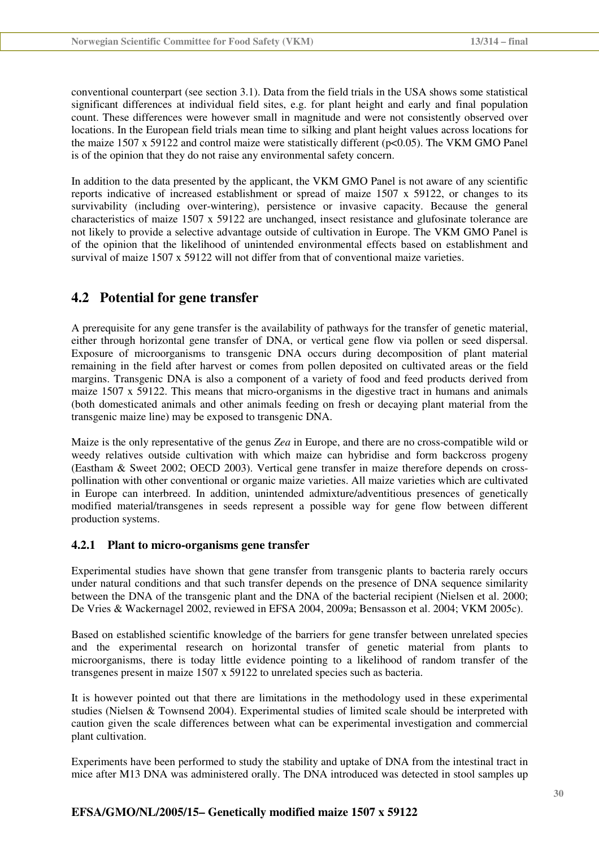conventional counterpart (see section 3.1). Data from the field trials in the USA shows some statistical significant differences at individual field sites, e.g. for plant height and early and final population count. These differences were however small in magnitude and were not consistently observed over locations. In the European field trials mean time to silking and plant height values across locations for the maize 1507 x 59122 and control maize were statistically different (p<0.05). The VKM GMO Panel is of the opinion that they do not raise any environmental safety concern.

In addition to the data presented by the applicant, the VKM GMO Panel is not aware of any scientific reports indicative of increased establishment or spread of maize 1507 x 59122, or changes to its survivability (including over-wintering), persistence or invasive capacity. Because the general characteristics of maize 1507 x 59122 are unchanged, insect resistance and glufosinate tolerance are not likely to provide a selective advantage outside of cultivation in Europe. The VKM GMO Panel is of the opinion that the likelihood of unintended environmental effects based on establishment and survival of maize 1507 x 59122 will not differ from that of conventional maize varieties.

### **4.2 Potential for gene transfer**

A prerequisite for any gene transfer is the availability of pathways for the transfer of genetic material, either through horizontal gene transfer of DNA, or vertical gene flow via pollen or seed dispersal. Exposure of microorganisms to transgenic DNA occurs during decomposition of plant material remaining in the field after harvest or comes from pollen deposited on cultivated areas or the field margins. Transgenic DNA is also a component of a variety of food and feed products derived from maize 1507 x 59122. This means that micro-organisms in the digestive tract in humans and animals (both domesticated animals and other animals feeding on fresh or decaying plant material from the transgenic maize line) may be exposed to transgenic DNA.

Maize is the only representative of the genus *Zea* in Europe, and there are no cross-compatible wild or weedy relatives outside cultivation with which maize can hybridise and form backcross progeny (Eastham & Sweet 2002; OECD 2003). Vertical gene transfer in maize therefore depends on crosspollination with other conventional or organic maize varieties. All maize varieties which are cultivated in Europe can interbreed. In addition, unintended admixture/adventitious presences of genetically modified material/transgenes in seeds represent a possible way for gene flow between different production systems.

### **4.2.1 Plant to micro-organisms gene transfer**

Experimental studies have shown that gene transfer from transgenic plants to bacteria rarely occurs under natural conditions and that such transfer depends on the presence of DNA sequence similarity between the DNA of the transgenic plant and the DNA of the bacterial recipient (Nielsen et al. 2000; De Vries & Wackernagel 2002, reviewed in EFSA 2004, 2009a; Bensasson et al. 2004; VKM 2005c).

Based on established scientific knowledge of the barriers for gene transfer between unrelated species and the experimental research on horizontal transfer of genetic material from plants to microorganisms, there is today little evidence pointing to a likelihood of random transfer of the transgenes present in maize 1507 x 59122 to unrelated species such as bacteria.

It is however pointed out that there are limitations in the methodology used in these experimental studies (Nielsen & Townsend 2004). Experimental studies of limited scale should be interpreted with caution given the scale differences between what can be experimental investigation and commercial plant cultivation.

Experiments have been performed to study the stability and uptake of DNA from the intestinal tract in mice after M13 DNA was administered orally. The DNA introduced was detected in stool samples up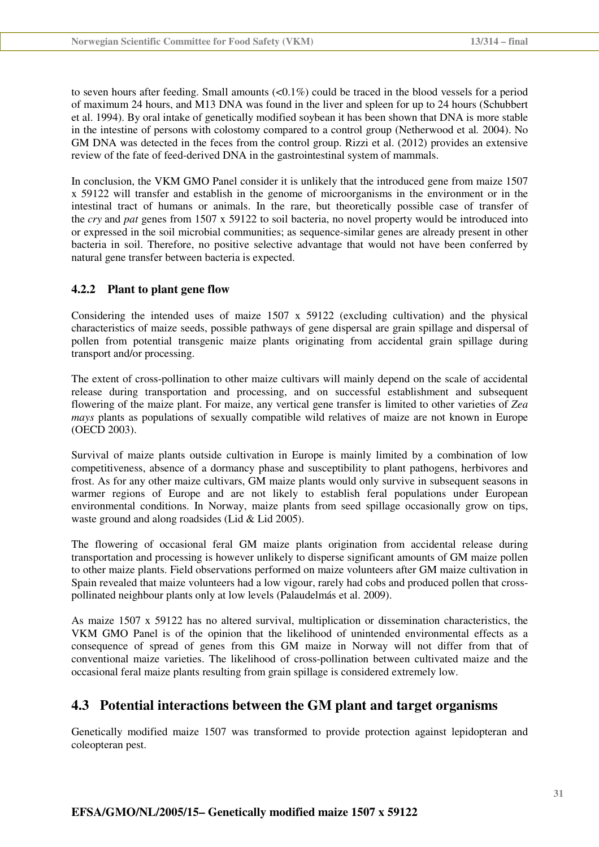to seven hours after feeding. Small amounts  $( $0.1\%$ )$  could be traced in the blood vessels for a period of maximum 24 hours, and M13 DNA was found in the liver and spleen for up to 24 hours (Schubbert et al. 1994). By oral intake of genetically modified soybean it has been shown that DNA is more stable in the intestine of persons with colostomy compared to a control group (Netherwood et al*.* 2004). No GM DNA was detected in the feces from the control group. Rizzi et al. (2012) provides an extensive review of the fate of feed-derived DNA in the gastrointestinal system of mammals.

In conclusion, the VKM GMO Panel consider it is unlikely that the introduced gene from maize 1507 x 59122 will transfer and establish in the genome of microorganisms in the environment or in the intestinal tract of humans or animals. In the rare, but theoretically possible case of transfer of the *cry* and *pat* genes from 1507 x 59122 to soil bacteria, no novel property would be introduced into or expressed in the soil microbial communities; as sequence-similar genes are already present in other bacteria in soil. Therefore, no positive selective advantage that would not have been conferred by natural gene transfer between bacteria is expected.

#### **4.2.2 Plant to plant gene flow**

Considering the intended uses of maize  $1507 \times 59122$  (excluding cultivation) and the physical characteristics of maize seeds, possible pathways of gene dispersal are grain spillage and dispersal of pollen from potential transgenic maize plants originating from accidental grain spillage during transport and/or processing.

The extent of cross-pollination to other maize cultivars will mainly depend on the scale of accidental release during transportation and processing, and on successful establishment and subsequent flowering of the maize plant. For maize, any vertical gene transfer is limited to other varieties of *Zea mays* plants as populations of sexually compatible wild relatives of maize are not known in Europe (OECD 2003).

Survival of maize plants outside cultivation in Europe is mainly limited by a combination of low competitiveness, absence of a dormancy phase and susceptibility to plant pathogens, herbivores and frost. As for any other maize cultivars, GM maize plants would only survive in subsequent seasons in warmer regions of Europe and are not likely to establish feral populations under European environmental conditions. In Norway, maize plants from seed spillage occasionally grow on tips, waste ground and along roadsides (Lid & Lid 2005).

The flowering of occasional feral GM maize plants origination from accidental release during transportation and processing is however unlikely to disperse significant amounts of GM maize pollen to other maize plants. Field observations performed on maize volunteers after GM maize cultivation in Spain revealed that maize volunteers had a low vigour, rarely had cobs and produced pollen that crosspollinated neighbour plants only at low levels (Palaudelmás et al. 2009).

As maize 1507 x 59122 has no altered survival, multiplication or dissemination characteristics, the VKM GMO Panel is of the opinion that the likelihood of unintended environmental effects as a consequence of spread of genes from this GM maize in Norway will not differ from that of conventional maize varieties. The likelihood of cross-pollination between cultivated maize and the occasional feral maize plants resulting from grain spillage is considered extremely low.

### **4.3 Potential interactions between the GM plant and target organisms**

Genetically modified maize 1507 was transformed to provide protection against lepidopteran and coleopteran pest.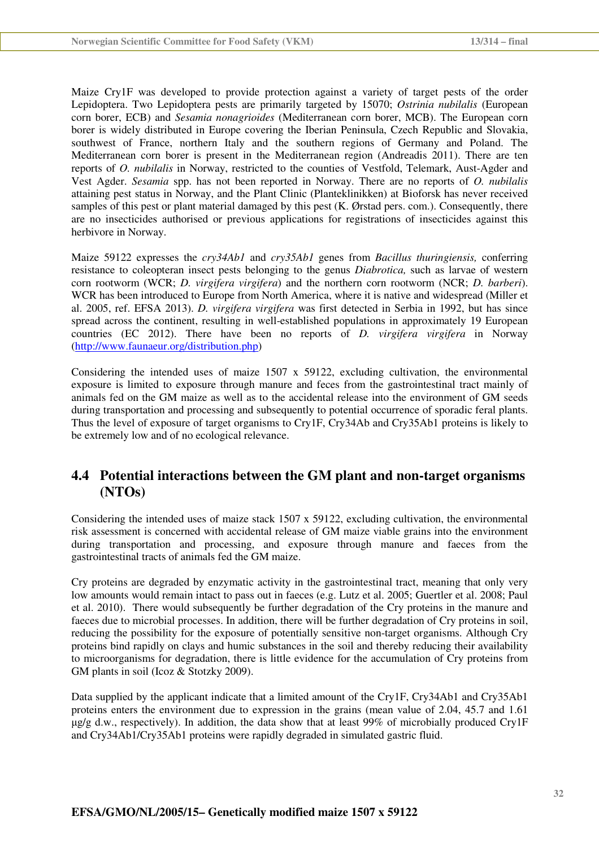Maize Cry1F was developed to provide protection against a variety of target pests of the order Lepidoptera. Two Lepidoptera pests are primarily targeted by 15070; *Ostrinia nubilalis* (European corn borer, ECB) and *Sesamia nonagrioides* (Mediterranean corn borer, MCB). The European corn borer is widely distributed in Europe covering the Iberian Peninsula, Czech Republic and Slovakia, southwest of France, northern Italy and the southern regions of Germany and Poland. The Mediterranean corn borer is present in the Mediterranean region (Andreadis 2011). There are ten reports of *O. nubilalis* in Norway, restricted to the counties of Vestfold, Telemark, Aust-Agder and Vest Agder. *Sesamia* spp. has not been reported in Norway. There are no reports of *O. nubilalis*  attaining pest status in Norway, and the Plant Clinic (Planteklinikken) at Bioforsk has never received samples of this pest or plant material damaged by this pest (K. Ørstad pers. com.). Consequently, there are no insecticides authorised or previous applications for registrations of insecticides against this herbivore in Norway.

Maize 59122 expresses the *cry34Ab1* and *cry35Ab1* genes from *Bacillus thuringiensis,* conferring resistance to coleopteran insect pests belonging to the genus *Diabrotica,* such as larvae of western corn rootworm (WCR; *D. virgifera virgifera*) and the northern corn rootworm (NCR; *D. barberi*). WCR has been introduced to Europe from North America, where it is native and widespread (Miller et al. 2005, ref. EFSA 2013). *D. virgifera virgifera* was first detected in Serbia in 1992, but has since spread across the continent, resulting in well-established populations in approximately 19 European countries (EC 2012). There have been no reports of *D. virgifera virgifera* in Norway (http://www.faunaeur.org/distribution.php)

Considering the intended uses of maize 1507 x 59122, excluding cultivation, the environmental exposure is limited to exposure through manure and feces from the gastrointestinal tract mainly of animals fed on the GM maize as well as to the accidental release into the environment of GM seeds during transportation and processing and subsequently to potential occurrence of sporadic feral plants. Thus the level of exposure of target organisms to Cry1F, Cry34Ab and Cry35Ab1 proteins is likely to be extremely low and of no ecological relevance.

### **4.4 Potential interactions between the GM plant and non-target organisms (NTOs)**

Considering the intended uses of maize stack 1507 x 59122, excluding cultivation, the environmental risk assessment is concerned with accidental release of GM maize viable grains into the environment during transportation and processing, and exposure through manure and faeces from the gastrointestinal tracts of animals fed the GM maize.

Cry proteins are degraded by enzymatic activity in the gastrointestinal tract, meaning that only very low amounts would remain intact to pass out in faeces (e.g. Lutz et al. 2005; Guertler et al. 2008; Paul et al. 2010). There would subsequently be further degradation of the Cry proteins in the manure and faeces due to microbial processes. In addition, there will be further degradation of Cry proteins in soil, reducing the possibility for the exposure of potentially sensitive non-target organisms. Although Cry proteins bind rapidly on clays and humic substances in the soil and thereby reducing their availability to microorganisms for degradation, there is little evidence for the accumulation of Cry proteins from GM plants in soil (Icoz & Stotzky 2009).

Data supplied by the applicant indicate that a limited amount of the Cry1F, Cry34Ab1 and Cry35Ab1 proteins enters the environment due to expression in the grains (mean value of 2.04, 45.7 and 1.61  $\mu$ g/g d.w., respectively). In addition, the data show that at least 99% of microbially produced Cry1F and Cry34Ab1/Cry35Ab1 proteins were rapidly degraded in simulated gastric fluid.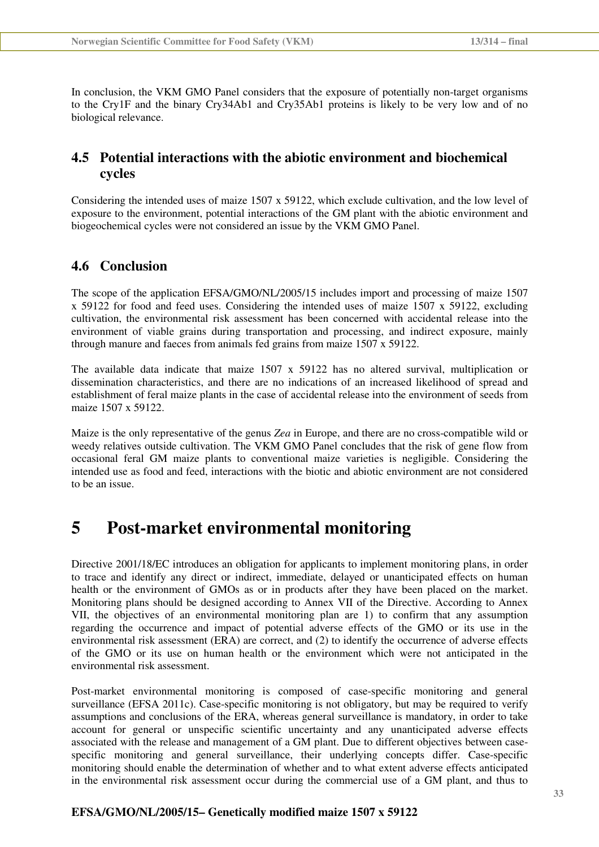In conclusion, the VKM GMO Panel considers that the exposure of potentially non-target organisms to the Cry1F and the binary Cry34Ab1 and Cry35Ab1 proteins is likely to be very low and of no biological relevance.

### **4.5 Potential interactions with the abiotic environment and biochemical cycles**

Considering the intended uses of maize 1507 x 59122, which exclude cultivation, and the low level of exposure to the environment, potential interactions of the GM plant with the abiotic environment and biogeochemical cycles were not considered an issue by the VKM GMO Panel.

### **4.6 Conclusion**

The scope of the application EFSA/GMO/NL/2005/15 includes import and processing of maize 1507 x 59122 for food and feed uses. Considering the intended uses of maize 1507 x 59122, excluding cultivation, the environmental risk assessment has been concerned with accidental release into the environment of viable grains during transportation and processing, and indirect exposure, mainly through manure and faeces from animals fed grains from maize 1507 x 59122.

The available data indicate that maize 1507 x 59122 has no altered survival, multiplication or dissemination characteristics, and there are no indications of an increased likelihood of spread and establishment of feral maize plants in the case of accidental release into the environment of seeds from maize 1507 x 59122.

Maize is the only representative of the genus *Zea* in Europe, and there are no cross-compatible wild or weedy relatives outside cultivation. The VKM GMO Panel concludes that the risk of gene flow from occasional feral GM maize plants to conventional maize varieties is negligible. Considering the intended use as food and feed, interactions with the biotic and abiotic environment are not considered to be an issue.

## **5 Post-market environmental monitoring**

Directive 2001/18/EC introduces an obligation for applicants to implement monitoring plans, in order to trace and identify any direct or indirect, immediate, delayed or unanticipated effects on human health or the environment of GMOs as or in products after they have been placed on the market. Monitoring plans should be designed according to Annex VII of the Directive. According to Annex VII, the objectives of an environmental monitoring plan are 1) to confirm that any assumption regarding the occurrence and impact of potential adverse effects of the GMO or its use in the environmental risk assessment (ERA) are correct, and (2) to identify the occurrence of adverse effects of the GMO or its use on human health or the environment which were not anticipated in the environmental risk assessment.

Post-market environmental monitoring is composed of case-specific monitoring and general surveillance (EFSA 2011c). Case-specific monitoring is not obligatory, but may be required to verify assumptions and conclusions of the ERA, whereas general surveillance is mandatory, in order to take account for general or unspecific scientific uncertainty and any unanticipated adverse effects associated with the release and management of a GM plant. Due to different objectives between casespecific monitoring and general surveillance, their underlying concepts differ. Case-specific monitoring should enable the determination of whether and to what extent adverse effects anticipated in the environmental risk assessment occur during the commercial use of a GM plant, and thus to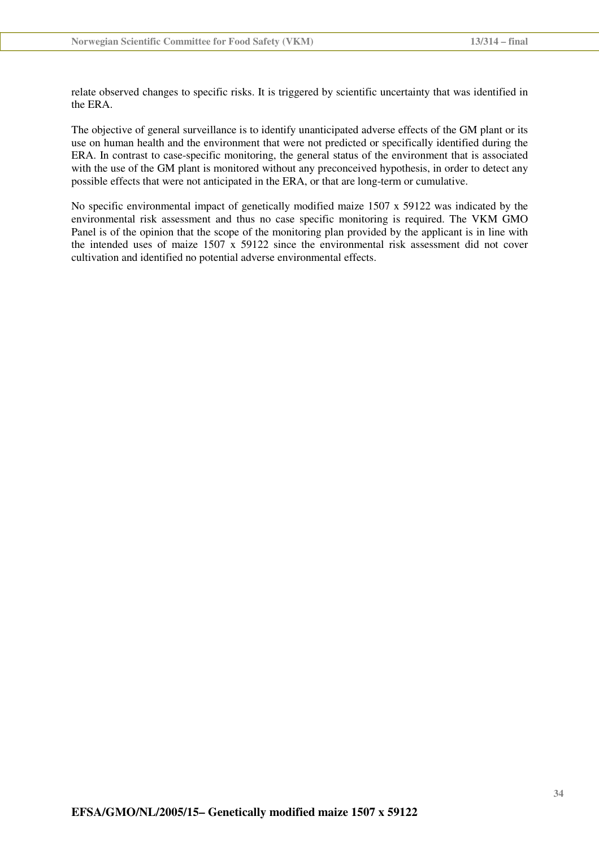relate observed changes to specific risks. It is triggered by scientific uncertainty that was identified in the ERA.

The objective of general surveillance is to identify unanticipated adverse effects of the GM plant or its use on human health and the environment that were not predicted or specifically identified during the ERA. In contrast to case-specific monitoring, the general status of the environment that is associated with the use of the GM plant is monitored without any preconceived hypothesis, in order to detect any possible effects that were not anticipated in the ERA, or that are long-term or cumulative.

No specific environmental impact of genetically modified maize 1507 x 59122 was indicated by the environmental risk assessment and thus no case specific monitoring is required. The VKM GMO Panel is of the opinion that the scope of the monitoring plan provided by the applicant is in line with the intended uses of maize 1507 x 59122 since the environmental risk assessment did not cover cultivation and identified no potential adverse environmental effects.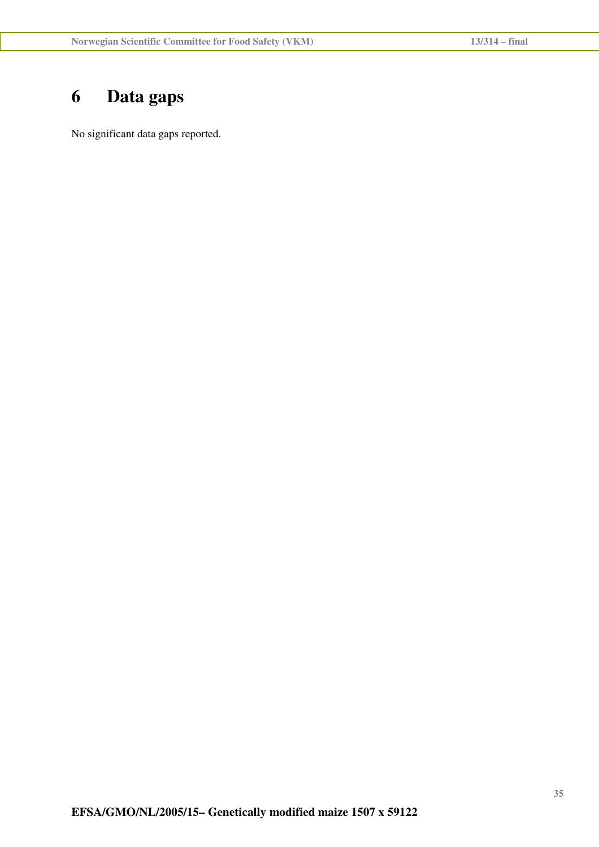# **6 Data gaps**

No significant data gaps reported.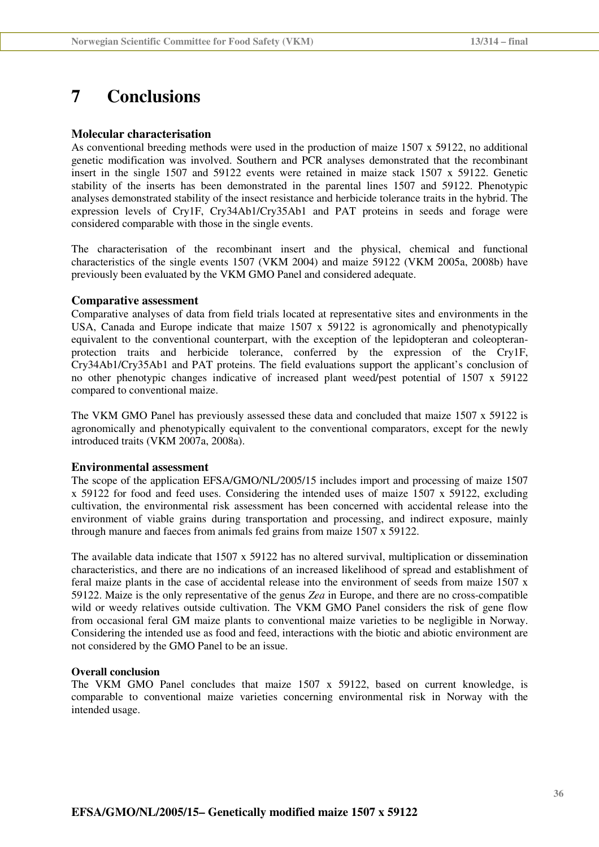## **7 Conclusions**

#### **Molecular characterisation**

As conventional breeding methods were used in the production of maize 1507 x 59122, no additional genetic modification was involved. Southern and PCR analyses demonstrated that the recombinant insert in the single 1507 and 59122 events were retained in maize stack 1507 x 59122. Genetic stability of the inserts has been demonstrated in the parental lines 1507 and 59122. Phenotypic analyses demonstrated stability of the insect resistance and herbicide tolerance traits in the hybrid. The expression levels of Cry1F, Cry34Ab1/Cry35Ab1 and PAT proteins in seeds and forage were considered comparable with those in the single events.

The characterisation of the recombinant insert and the physical, chemical and functional characteristics of the single events 1507 (VKM 2004) and maize 59122 (VKM 2005a, 2008b) have previously been evaluated by the VKM GMO Panel and considered adequate.

#### **Comparative assessment**

Comparative analyses of data from field trials located at representative sites and environments in the USA, Canada and Europe indicate that maize 1507 x 59122 is agronomically and phenotypically equivalent to the conventional counterpart, with the exception of the lepidopteran and coleopteranprotection traits and herbicide tolerance, conferred by the expression of the Cry1F, Cry34Ab1/Cry35Ab1 and PAT proteins. The field evaluations support the applicant's conclusion of no other phenotypic changes indicative of increased plant weed/pest potential of 1507 x 59122 compared to conventional maize.

The VKM GMO Panel has previously assessed these data and concluded that maize 1507 x 59122 is agronomically and phenotypically equivalent to the conventional comparators, except for the newly introduced traits (VKM 2007a, 2008a).

#### **Environmental assessment**

The scope of the application EFSA/GMO/NL/2005/15 includes import and processing of maize 1507 x 59122 for food and feed uses. Considering the intended uses of maize 1507 x 59122, excluding cultivation, the environmental risk assessment has been concerned with accidental release into the environment of viable grains during transportation and processing, and indirect exposure, mainly through manure and faeces from animals fed grains from maize 1507 x 59122.

The available data indicate that 1507 x 59122 has no altered survival, multiplication or dissemination characteristics, and there are no indications of an increased likelihood of spread and establishment of feral maize plants in the case of accidental release into the environment of seeds from maize 1507 x 59122. Maize is the only representative of the genus *Zea* in Europe, and there are no cross-compatible wild or weedy relatives outside cultivation. The VKM GMO Panel considers the risk of gene flow from occasional feral GM maize plants to conventional maize varieties to be negligible in Norway. Considering the intended use as food and feed, interactions with the biotic and abiotic environment are not considered by the GMO Panel to be an issue.

#### **Overall conclusion**

The VKM GMO Panel concludes that maize 1507 x 59122, based on current knowledge, is comparable to conventional maize varieties concerning environmental risk in Norway with the intended usage.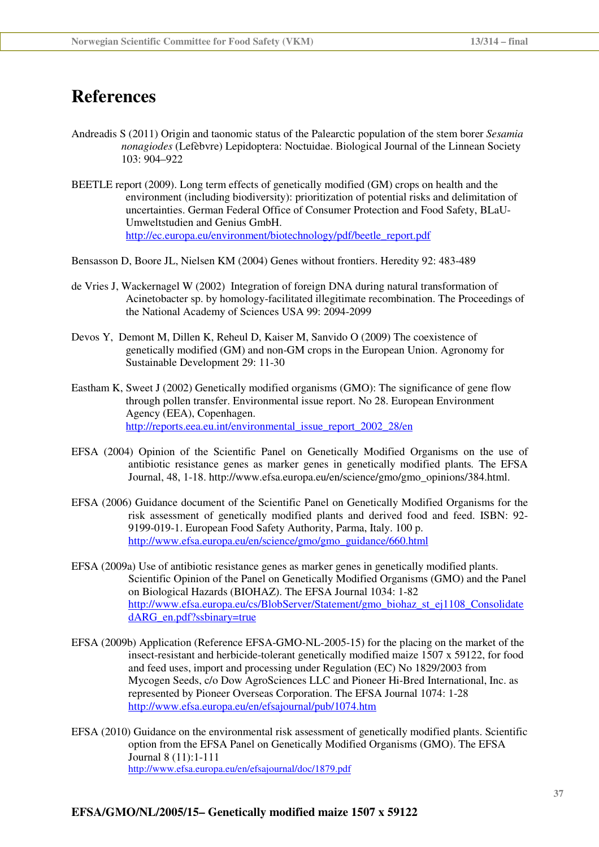## **References**

- Andreadis S (2011) Origin and taonomic status of the Palearctic population of the stem borer *Sesamia nonagiodes* (Lefèbvre) Lepidoptera: Noctuidae. Biological Journal of the Linnean Society 103: 904–922
- BEETLE report (2009). Long term effects of genetically modified (GM) crops on health and the environment (including biodiversity): prioritization of potential risks and delimitation of uncertainties. German Federal Office of Consumer Protection and Food Safety, BLaU-Umweltstudien and Genius GmbH. http://ec.europa.eu/environment/biotechnology/pdf/beetle\_report.pdf
- Bensasson D, Boore JL, Nielsen KM (2004) Genes without frontiers. Heredity 92: 483-489
- de Vries J, Wackernagel W (2002) Integration of foreign DNA during natural transformation of Acinetobacter sp. by homology-facilitated illegitimate recombination. The Proceedings of the National Academy of Sciences USA 99: 2094-2099
- Devos Y, Demont M, Dillen K, Reheul D, Kaiser M, Sanvido O (2009) The coexistence of genetically modified (GM) and non-GM crops in the European Union. Agronomy for Sustainable Development 29: 11-30
- Eastham K, Sweet J (2002) Genetically modified organisms (GMO): The significance of gene flow through pollen transfer. Environmental issue report. No 28. European Environment Agency (EEA), Copenhagen. http://reports.eea.eu.int/environmental\_issue\_report\_2002\_28/en
- EFSA (2004) Opinion of the Scientific Panel on Genetically Modified Organisms on the use of antibiotic resistance genes as marker genes in genetically modified plants*.* The EFSA Journal, 48, 1-18. http://www.efsa.europa.eu/en/science/gmo/gmo\_opinions/384.html.
- EFSA (2006) Guidance document of the Scientific Panel on Genetically Modified Organisms for the risk assessment of genetically modified plants and derived food and feed. ISBN: 92- 9199-019-1. European Food Safety Authority, Parma, Italy. 100 p. http://www.efsa.europa.eu/en/science/gmo/gmo\_guidance/660.html
- EFSA (2009a) Use of antibiotic resistance genes as marker genes in genetically modified plants. Scientific Opinion of the Panel on Genetically Modified Organisms (GMO) and the Panel on Biological Hazards (BIOHAZ). The EFSA Journal 1034: 1-82 http://www.efsa.europa.eu/cs/BlobServer/Statement/gmo\_biohaz\_st\_ej1108\_Consolidate dARG\_en.pdf?ssbinary=true
- EFSA (2009b) Application (Reference EFSA-GMO-NL-2005-15) for the placing on the market of the insect-resistant and herbicide-tolerant genetically modified maize 1507 x 59122, for food and feed uses, import and processing under Regulation (EC) No 1829/2003 from Mycogen Seeds, c/o Dow AgroSciences LLC and Pioneer Hi-Bred International, Inc. as represented by Pioneer Overseas Corporation. The EFSA Journal 1074: 1-28 http://www.efsa.europa.eu/en/efsajournal/pub/1074.htm
- EFSA (2010) Guidance on the environmental risk assessment of genetically modified plants. Scientific option from the EFSA Panel on Genetically Modified Organisms (GMO). The EFSA Journal 8 (11):1-111 http://www.efsa.europa.eu/en/efsajournal/doc/1879.pdf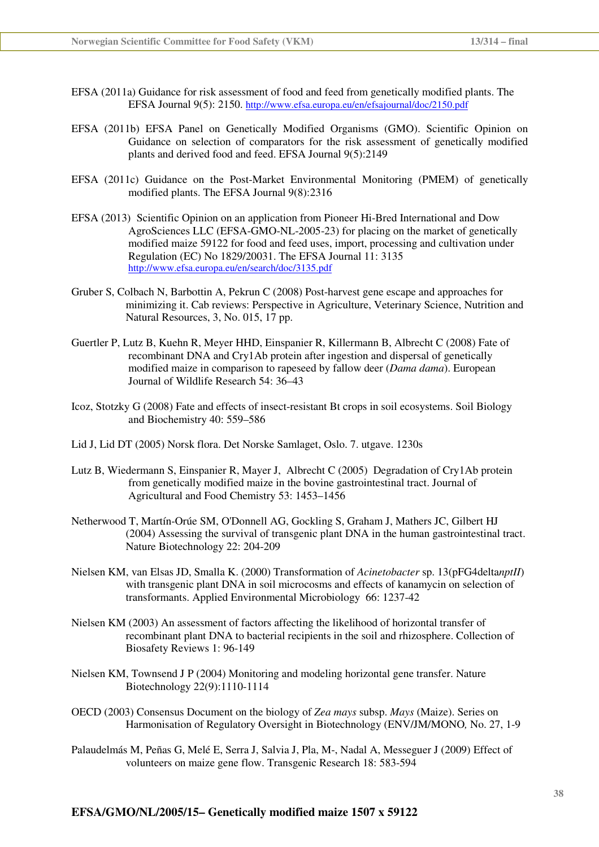- EFSA (2011a) Guidance for risk assessment of food and feed from genetically modified plants. The EFSA Journal 9(5): 2150. http://www.efsa.europa.eu/en/efsajournal/doc/2150.pdf
- EFSA (2011b) EFSA Panel on Genetically Modified Organisms (GMO). Scientific Opinion on Guidance on selection of comparators for the risk assessment of genetically modified plants and derived food and feed. EFSA Journal 9(5):2149
- EFSA (2011c) Guidance on the Post-Market Environmental Monitoring (PMEM) of genetically modified plants. The EFSA Journal 9(8):2316
- EFSA (2013) Scientific Opinion on an application from Pioneer Hi-Bred International and Dow AgroSciences LLC (EFSA-GMO-NL-2005-23) for placing on the market of genetically modified maize 59122 for food and feed uses, import, processing and cultivation under Regulation (EC) No 1829/20031. The EFSA Journal 11: 3135 http://www.efsa.europa.eu/en/search/doc/3135.pdf
- Gruber S, Colbach N, Barbottin A, Pekrun C (2008) Post-harvest gene escape and approaches for minimizing it. Cab reviews: Perspective in Agriculture, Veterinary Science, Nutrition and Natural Resources, 3, No. 015, 17 pp.
- Guertler P, Lutz B, Kuehn R, Meyer HHD, Einspanier R, Killermann B, Albrecht C (2008) Fate of recombinant DNA and Cry1Ab protein after ingestion and dispersal of genetically modified maize in comparison to rapeseed by fallow deer (*Dama dama*). European Journal of Wildlife Research 54: 36–43
- Icoz, Stotzky G (2008) Fate and effects of insect-resistant Bt crops in soil ecosystems. Soil Biology and Biochemistry 40: 559–586
- Lid J, Lid DT (2005) Norsk flora. Det Norske Samlaget, Oslo. 7. utgave. 1230s
- Lutz B, Wiedermann S, Einspanier R, Mayer J, Albrecht C (2005) Degradation of Cry1Ab protein from genetically modified maize in the bovine gastrointestinal tract. Journal of Agricultural and Food Chemistry 53: 1453–1456
- Netherwood T, Martín-Orúe SM, O'Donnell AG, Gockling S, Graham J, Mathers JC, Gilbert HJ (2004) Assessing the survival of transgenic plant DNA in the human gastrointestinal tract. Nature Biotechnology 22: 204-209
- Nielsen KM, van Elsas JD, Smalla K. (2000) Transformation of *Acinetobacter* sp. 13(pFG4delta*nptII*) with transgenic plant DNA in soil microcosms and effects of kanamycin on selection of transformants. Applied Environmental Microbiology 66: 1237-42
- Nielsen KM (2003) An assessment of factors affecting the likelihood of horizontal transfer of recombinant plant DNA to bacterial recipients in the soil and rhizosphere. Collection of Biosafety Reviews 1: 96-149
- Nielsen KM, Townsend J P (2004) Monitoring and modeling horizontal gene transfer. Nature Biotechnology 22(9):1110-1114
- OECD (2003) Consensus Document on the biology of *Zea mays* subsp. *Mays* (Maize). Series on Harmonisation of Regulatory Oversight in Biotechnology (ENV/JM/MONO*,* No. 27, 1-9
- Palaudelmás M, Peñas G, Melé E, Serra J, Salvia J, Pla, M-, Nadal A, Messeguer J (2009) Effect of volunteers on maize gene flow. Transgenic Research 18: 583-594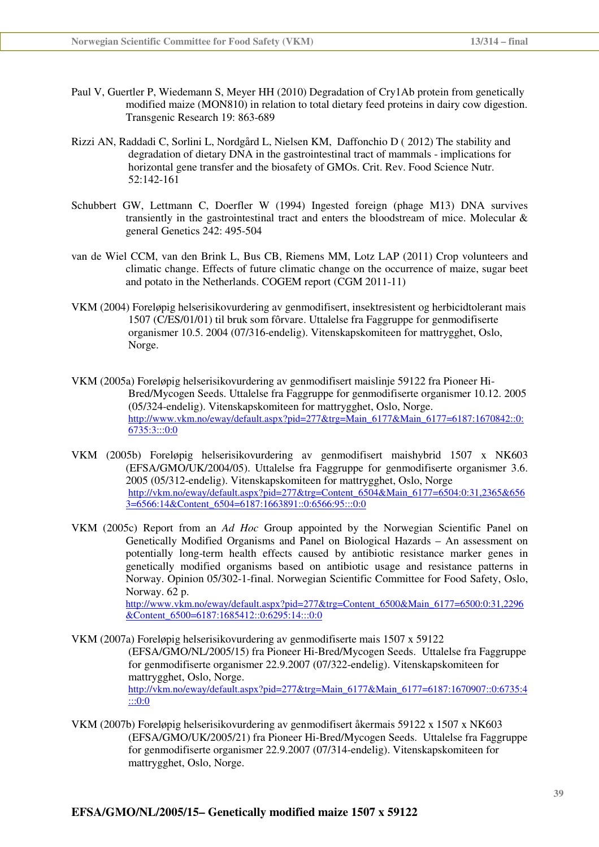- Paul V, Guertler P, Wiedemann S, Meyer HH (2010) Degradation of Cry1Ab protein from genetically modified maize (MON810) in relation to total dietary feed proteins in dairy cow digestion. Transgenic Research 19: 863-689
- Rizzi AN, Raddadi C, Sorlini L, Nordgård L, Nielsen KM, Daffonchio D ( 2012) The stability and degradation of dietary DNA in the gastrointestinal tract of mammals - implications for horizontal gene transfer and the biosafety of GMOs. Crit. Rev. Food Science Nutr. 52:142-161
- Schubbert GW, Lettmann C, Doerfler W (1994) Ingested foreign (phage M13) DNA survives transiently in the gastrointestinal tract and enters the bloodstream of mice. Molecular  $\&$ general Genetics 242: 495-504
- van de Wiel CCM, van den Brink L, Bus CB, Riemens MM, Lotz LAP (2011) Crop volunteers and climatic change. Effects of future climatic change on the occurrence of maize, sugar beet and potato in the Netherlands. COGEM report (CGM 2011-11)
- VKM (2004) Foreløpig helserisikovurdering av genmodifisert, insektresistent og herbicidtolerant mais 1507 (C/ES/01/01) til bruk som fôrvare. Uttalelse fra Faggruppe for genmodifiserte organismer 10.5. 2004 (07/316-endelig). Vitenskapskomiteen for mattrygghet, Oslo, Norge.
- VKM (2005a) Foreløpig helserisikovurdering av genmodifisert maislinje 59122 fra Pioneer Hi-Bred/Mycogen Seeds. Uttalelse fra Faggruppe for genmodifiserte organismer 10.12. 2005 (05/324-endelig). Vitenskapskomiteen for mattrygghet, Oslo, Norge. http://www.vkm.no/eway/default.aspx?pid=277&trg=Main\_6177&Main\_6177=6187:1670842::0: 6735:3:::0:0
- VKM (2005b) Foreløpig helserisikovurdering av genmodifisert maishybrid 1507 x NK603 (EFSA/GMO/UK/2004/05). Uttalelse fra Faggruppe for genmodifiserte organismer 3.6. 2005 (05/312-endelig). Vitenskapskomiteen for mattrygghet, Oslo, Norge http://vkm.no/eway/default.aspx?pid=277&trg=Content\_6504&Main\_6177=6504:0:31,2365&656 3=6566:14&Content\_6504=6187:1663891::0:6566:95:::0:0
- VKM (2005c) Report from an *Ad Hoc* Group appointed by the Norwegian Scientific Panel on Genetically Modified Organisms and Panel on Biological Hazards – An assessment on potentially long-term health effects caused by antibiotic resistance marker genes in genetically modified organisms based on antibiotic usage and resistance patterns in Norway. Opinion 05/302-1-final. Norwegian Scientific Committee for Food Safety, Oslo, Norway. 62 p. http://www.vkm.no/eway/default.aspx?pid=277&trg=Content\_6500&Main\_6177=6500:0:31,2296  $\&$  Content 6500=6187:1685412::0:6295:14:::0:0

VKM (2007a) Foreløpig helserisikovurdering av genmodifiserte mais 1507 x 59122 (EFSA/GMO/NL/2005/15) fra Pioneer Hi-Bred/Mycogen Seeds. Uttalelse fra Faggruppe for genmodifiserte organismer 22.9.2007 (07/322-endelig). Vitenskapskomiteen for mattrygghet, Oslo, Norge. http://vkm.no/eway/default.aspx?pid=277&trg=Main\_6177&Main\_6177=6187:1670907::0:6735:4

VKM (2007b) Foreløpig helserisikovurdering av genmodifisert åkermais 59122 x 1507 x NK603 (EFSA/GMO/UK/2005/21) fra Pioneer Hi-Bred/Mycogen Seeds. Uttalelse fra Faggruppe for genmodifiserte organismer 22.9.2007 (07/314-endelig). Vitenskapskomiteen for mattrygghet, Oslo, Norge.

:::0:0